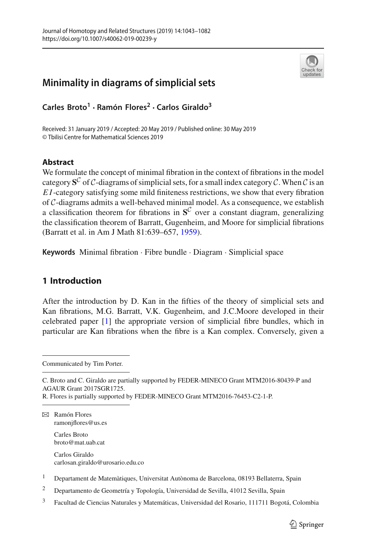

# **Minimality in diagrams of simplicial sets**

**Carles Broto<sup>1</sup> · Ramón Flores<sup>2</sup> · Carlos Giraldo3**

Received: 31 January 2019 / Accepted: 20 May 2019 / Published online: 30 May 2019 © Tbilisi Centre for Mathematical Sciences 2019

# **Abstract**

We formulate the concept of minimal fibration in the context of fibrations in the model category  $S^C$  of C-diagrams of simplicial sets, for a small index category C. When C is an *E I*-category satisfying some mild finiteness restrictions, we show that every fibration of *C*-diagrams admits a well-behaved minimal model. As a consequence, we establish a classification theorem for fibrations in  $S^C$  over a constant diagram, generalizing the classification theorem of Barratt, Gugenheim, and Moore for simplicial fibrations (Barratt et al. in Am J Math 81:639–657, [1959\)](#page-39-0).

**Keywords** Minimal fibration · Fibre bundle · Diagram · Simplicial space

# **1 Introduction**

After the introduction by D. Kan in the fifties of the theory of simplicial sets and Kan fibrations, M.G. Barratt, V.K. Gugenheim, and J.C.Moore developed in their celebrated paper [\[1](#page-39-0)] the appropriate version of simplicial fibre bundles, which in particular are Kan fibrations when the fibre is a Kan complex. Conversely, given a

Communicated by Tim Porter.

C. Broto and C. Giraldo are partially supported by FEDER-MINECO Grant MTM2016-80439-P and AGAUR Grant 2017SGR1725.

R. Flores is partially supported by FEDER-MINECO Grant MTM2016-76453-C2-1-P.

 $\boxtimes$  Ramón Flores ramonjflores@us.es

> Carles Broto broto@mat.uab.cat

Carlos Giraldo carlosan.giraldo@urosario.edu.co

<sup>1</sup> Departament de Matemàtiques, Universitat Autònoma de Barcelona, 08193 Bellaterra, Spain

<sup>2</sup> Departamento de Geometría y Topología, Universidad de Sevilla, 41012 Sevilla, Spain

<sup>3</sup> Facultad de Ciencias Naturales y Matemáticas, Universidad del Rosario, 111711 Bogotá, Colombia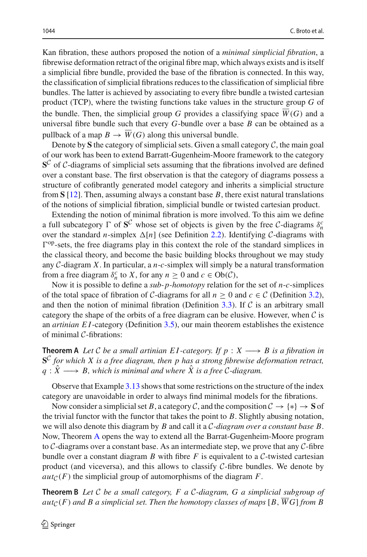Kan fibration, these authors proposed the notion of a *minimal simplicial fibration*, a fibrewise deformation retract of the original fibre map, which always exists and is itself a simplicial fibre bundle, provided the base of the fibration is connected. In this way, the classification of simplicial fibrations reduces to the classification of simplicial fibre bundles. The latter is achieved by associating to every fibre bundle a twisted cartesian product (TCP), where the twisting functions take values in the structure group *G* of the bundle. Then, the simplicial group  $G$  provides a classifying space  $W(G)$  and a universal fibre bundle such that every *G*-bundle over a base *B* can be obtained as a pullback of a map  $B \to \overline{W}(G)$  along this universal bundle.

Denote by **S** the category of simplicial sets. Given a small category  $C$ , the main goal of our work has been to extend Barratt-Gugenheim-Moore framework to the category **S***<sup>C</sup>* of *C*-diagrams of simplicial sets assuming that the fibrations involved are defined over a constant base. The first observation is that the category of diagrams possess a structure of cofibrantly generated model category and inherits a simplicial structure from **S** [\[12](#page-39-1)]. Then, assuming always a constant base *B*, there exist natural translations of the notions of simplicial fibration, simplicial bundle or twisted cartesian product.

Extending the notion of minimal fibration is more involved. To this aim we define a full subcategory  $\Gamma$  of  $S^C$  whose set of objects is given by the free *C*-diagrams  $\delta_n^C$ over the standard *n*-simplex  $\Delta[n]$  (see Definition [2.2\)](#page-4-0). Identifying *C*-diagrams with  $\Gamma^{op}$ -sets, the free diagrams play in this context the role of the standard simplices in the classical theory, and become the basic building blocks throughout we may study any *C*-diagram *X*. In particular, a *n*-*c*-simplex will simply be a natural transformation from a free diagram  $\delta_n^c$  to *X*, for any  $n \geq 0$  and  $c \in Ob(\mathcal{C})$ ,

Now it is possible to define a *sub- p-homotopy* relation for the set of *n*-*c*-simplices of the total space of fibration of *C*-diagrams for all  $n \ge 0$  and  $c \in C$  (Definition [3.2\)](#page-12-0), and then the notion of minimal fibration (Definition [3.3\)](#page-12-1). If  $C$  is an arbitrary small category the shape of the orbits of a free diagram can be elusive. However, when  $\mathcal C$  is an *artinian E I*-category (Definition [3.5\)](#page-13-0), our main theorem establishes the existence of minimal *C*-fibrations:

<span id="page-1-0"></span>**Theorem A** *Let C be a small artinian EI-category. If*  $p : X \longrightarrow B$  *is a fibration in* **S***C for which X is a free diagram, then p has a strong fibrewise deformation retract,*  $q: \hat{X} \longrightarrow B$ , which is minimal and where  $\hat{X}$  is a free  $C$ -diagram.

Observe that Example [3.13](#page-20-0) shows that some restrictions on the structure of the index category are unavoidable in order to always find minimal models for the fibrations.

Now consider a simplicial set *B*, a category *C*, and the composition  $C \rightarrow \{*\} \rightarrow S$  of the trivial functor with the functor that takes the point to *B*. Slightly abusing notation, we will also denote this diagram by *B* and call it a *C-diagram over a constant base B*. Now, Theorem [A](#page-1-0) opens the way to extend all the Barrat-Gugenheim-Moore program to *C*-diagrams over a constant base. As an intermediate step, we prove that any *C*-fibre bundle over a constant diagram *B* with fibre *F* is equivalent to a *C*-twisted cartesian product (and viceversa), and this allows to classify  $C$ -fibre bundles. We denote by  $aut_{\mathcal{C}}(F)$  the simplicial group of automorphisms of the diagram *F*.

<span id="page-1-1"></span>**Theorem B** *Let C be a small category, F a C-diagram, G a simplicial subgroup of*  $aut_{\mathcal{C}}(F)$  *and B a simplicial set. Then the homotopy classes of maps* [B,  $\overline{W}G$ ] *from B*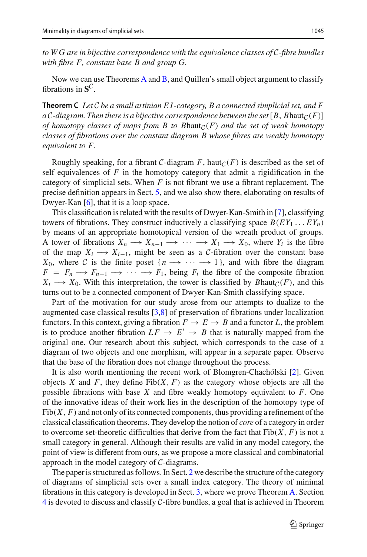*to W G are in bijective correspondence with the equivalence classes of C-fibre bundles with fibre F, constant base B and group G.*

<span id="page-2-0"></span>Now we can use Theorems [A](#page-1-0) and [B,](#page-1-1) and Quillen's small object argument to classify fibrations in **S***C*.

**Theorem C** *Let C be a small artinian E I -category, B a connected simplicial set, and F a C*-diagram. Then there is a bijective correspondence between the set [*B*, *Bhaut*<sub>*C*</sub>(*F*)] *of homotopy classes of maps from B to Bhaut* $C(F)$  *and the set of weak homotopy classes of fibrations over the constant diagram B whose fibres are weakly homotopy equivalent to F.*

Roughly speaking, for a fibrant *C*-diagram *F*, haut<sub>*C*</sub>(*F*) is described as the set of self equivalences of *F* in the homotopy category that admit a rigidification in the category of simplicial sets. When *F* is not fibrant we use a fibrant replacement. The precise definition appears in Sect. [5,](#page-28-0) and we also show there, elaborating on results of Dwyer-Kan [\[6](#page-39-2)], that it is a loop space.

This classification is related with the results of Dwyer-Kan-Smith in [\[7](#page-39-3)], classifying towers of fibrations. They construct inductively a classifying space  $B(EY_1 \dots EY_n)$ by means of an appropriate homotopical version of the wreath product of groups. A tower of fibrations  $X_n \to X_{n-1} \to \cdots \to X_1 \to X_0$ , where  $Y_i$  is the fibre of the map  $X_i \longrightarrow X_{i-1}$ , might be seen as a *C*-fibration over the constant base *X*<sub>0</sub>, where *C* is the finite poset  $\{n \rightarrow \cdots \rightarrow 1\}$ , and with fibre the diagram  $F = F_n \longrightarrow F_{n-1} \longrightarrow \cdots \longrightarrow F_1$ , being  $F_i$  the fibre of the composite fibration  $X_i \longrightarrow X_0$ . With this interpretation, the tower is classified by *Bhaut*<sub>*C*</sub>(*F*), and this turns out to be a connected component of Dwyer-Kan-Smith classifying space.

Part of the motivation for our study arose from our attempts to dualize to the augmented case classical results [\[3](#page-39-4)[,8](#page-39-5)] of preservation of fibrations under localization functors. In this context, giving a fibration  $F \to E \to B$  and a functor *L*, the problem is to produce another fibration  $LF \rightarrow E' \rightarrow B$  that is naturally mapped from the original one. Our research about this subject, which corresponds to the case of a diagram of two objects and one morphism, will appear in a separate paper. Observe that the base of the fibration does not change throughout the process.

It is also worth mentioning the recent work of Blomgren-Chachólski [\[2\]](#page-39-6). Given objects *X* and *F*, they define  $Fib(X, F)$  as the category whose objects are all the possible fibrations with base *X* and fibre weakly homotopy equivalent to *F*. One of the innovative ideas of their work lies in the description of the homotopy type of  $Fib(X, F)$  and not only of its connected components, thus providing a refinement of the classical classification theorems. They develop the notion of *core* of a category in order to overcome set-theoretic difficulties that derive from the fact that  $Fib(X, F)$  is not a small category in general. Although their results are valid in any model category, the point of view is different from ours, as we propose a more classical and combinatorial approach in the model category of *C*-diagrams.

The paper is structured as follows. In Sect. [2](#page-3-0) we describe the structure of the category of diagrams of simplicial sets over a small index category. The theory of minimal fibrations in this category is developed in Sect. [3,](#page-11-0) where we prove Theorem [A.](#page-1-0) Section [4](#page-21-0) is devoted to discuss and classify *C*-fibre bundles, a goal that is achieved in Theorem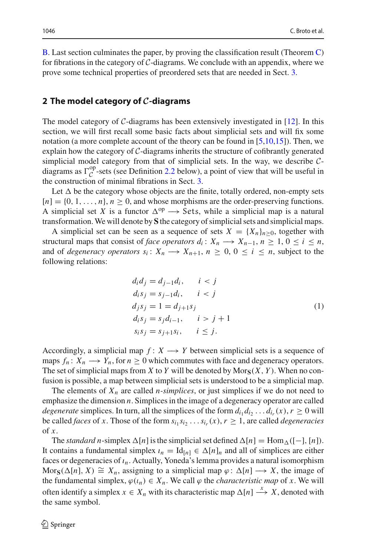[B.](#page-1-1) Last section culminates the paper, by proving the classification result (Theorem [C\)](#page-2-0) for fibrations in the category of *C*-diagrams. We conclude with an appendix, where we prove some technical properties of preordered sets that are needed in Sect. [3.](#page-11-0)

# <span id="page-3-0"></span>**2 The model category of** *C***-diagrams**

The model category of *C*-diagrams has been extensively investigated in [\[12\]](#page-39-1). In this section, we will first recall some basic facts about simplicial sets and will fix some notation (a more complete account of the theory can be found in [\[5](#page-39-7)[,10](#page-39-8)[,15\]](#page-39-9)). Then, we explain how the category of *C*-diagrams inherits the structure of cofibrantly generated simplicial model category from that of simplicial sets. In the way, we describe *C*diagrams as  $\Gamma_C^{op}$ -sets (see Definition [2.2](#page-4-0) below), a point of view that will be useful in the construction of minimal fibrations in Sect. 3 the construction of minimal fibrations in Sect. [3.](#page-11-0)

Let  $\Delta$  be the category whose objects are the finite, totally ordered, non-empty sets  $[n] = \{0, 1, \ldots, n\}, n \geq 0$ , and whose morphisms are the order-preserving functions. A simplicial set *X* is a functor  $\Delta^{op} \longrightarrow$  Sets, while a simplicial map is a natural transformation.We will denote by **S** the category of simplicial sets and simplicial maps.

A simplicial set can be seen as a sequence of sets  $X = \{X_n\}_{n>0}$ , together with structural maps that consist of *face operators*  $d_i: X_n \longrightarrow X_{n-1}, n \geq 1, 0 \leq i \leq n$ , and of *degeneracy operators*  $s_i: X_n \longrightarrow X_{n+1}, n \geq 0, 0 \leq i \leq n$ , subject to the following relations:

<span id="page-3-1"></span>
$$
d_i d_j = d_{j-1} d_i, \t i < j \nd_i s_j = s_{j-1} d_i, \t i < j \nd_j s_j = 1 = d_{j+1} s_j \nd_i s_j = s_j d_{i-1}, \t i > j+1 \ns_i s_j = s_{j+1} s_i, \t i \le j.
$$
\n(1)

Accordingly, a simplicial map  $f: X \longrightarrow Y$  between simplicial sets is a sequence of maps  $f_n: X_n \longrightarrow Y_n$ , for  $n \geq 0$  which commutes with face and degeneracy operators. The set of simplicial maps from *X* to *Y* will be denoted by  $Mors(X, Y)$ . When no confusion is possible, a map between simplicial sets is understood to be a simplicial map.

The elements of  $X_n$  are called *n*-simplices, or just simplices if we do not need to emphasize the dimension *n*. Simplices in the image of a degeneracy operator are called *degenerate* simplices. In turn, all the simplices of the form  $d_{i_1} d_{i_2} \ldots d_{i_r}(x)$ ,  $r \ge 0$  will be called *faces* of *x*. Those of the form  $s_{i_1} s_{i_2} \ldots s_{i_r}(x)$ ,  $r \geq 1$ , are called *degeneracies* of  $\dot{x}$ .

The *standard n*-simplex  $\Delta[n]$  is the simplicial set defined  $\Delta[n] = \text{Hom}_{\Delta}([-], [n])$ . It contains a fundamental simplex  $\iota_n = \text{Id}_{[n]} \in \Delta[n]_n$  and all of simplices are either faces or degeneracies of *ın*. Actually, Yoneda's lemma provides a natural isomorphism Mor<sub>S</sub>( $\Delta[n], X$ )  $\cong X_n$ , assigning to a simplicial map  $\varphi : \Delta[n] \longrightarrow X$ , the image of the fundamental simplex,  $\varphi(\iota_n) \in X_n$ . We call  $\varphi$  the *characteristic map* of *x*. We will often identify a simplex  $x \in X_n$  with its characteristic map  $\Delta[n] \stackrel{x}{\longrightarrow} X$ , denoted with the same symbol.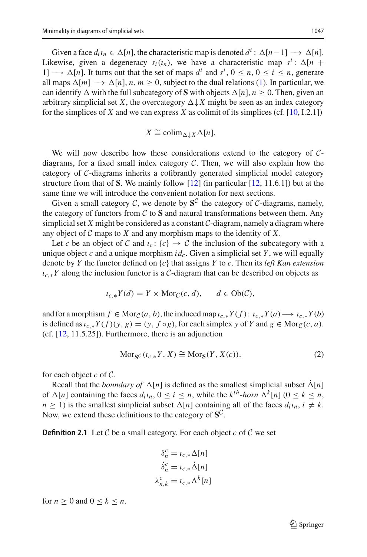Given a face  $d_i \iota_n \in \Delta[n]$ , the characteristic map is denoted  $d^i : \Delta[n-1] \longrightarrow \Delta[n]$ . Likewise, given a degeneracy  $s_i(t_n)$ , we have a characteristic map  $s^i$ :  $\Delta[n +]$ 1] →  $\Delta[n]$ . It turns out that the set of maps  $d^i$  and  $s^i$ ,  $0 \le n, 0 \le i \le n$ , generate all maps  $\Delta[m] \longrightarrow \Delta[n], n, m > 0$ , subject to the dual relations [\(1\)](#page-3-1). In particular, we can identify  $\Delta$  with the full subcategory of **S** with objects  $\Delta[n]$ ,  $n \geq 0$ . Then, given an arbitrary simplicial set *X*, the overcategory  $\Delta \downarrow X$  might be seen as an index category for the simplices of  $X$  and we can express  $X$  as colimit of its simplices (cf.  $[10, I.2.1]$  $[10, I.2.1]$ )

$$
X \cong \operatorname{colim}_{\Delta \downarrow X} \Delta[n].
$$

We will now describe how these considerations extend to the category of *C*diagrams, for a fixed small index category *C*. Then, we will also explain how the category of *C*-diagrams inherits a cofibrantly generated simplicial model category structure from that of **S**. We mainly follow [\[12](#page-39-1)] (in particular [\[12](#page-39-1), 11.6.1]) but at the same time we will introduce the convenient notation for next sections.

Given a small category  $C$ , we denote by  $S^C$  the category of  $C$ -diagrams, namely, the category of functors from  $C$  to  $S$  and natural transformations between them. Any simplicial set  $X$  might be considered as a constant  $C$ -diagram, namely a diagram where any object of *C* maps to *X* and any morphism maps to the identity of *X*.

Let *c* be an object of *C* and  $\iota_c$ :  $\{c\} \rightarrow C$  the inclusion of the subcategory with a unique object *c* and a unique morphism  $id_c$ . Given a simplicial set *Y*, we will equally denote by *Y* the functor defined on {*c*} that assigns *Y* to *c*. Then its *left Kan extension ıc*,∗*Y* along the inclusion functor is a *C*-diagram that can be described on objects as

$$
\iota_{c,*} Y(d) = Y \times \text{Mor}_{\mathcal{C}}(c, d), \qquad d \in \text{Ob}(\mathcal{C}),
$$

and for a morphism  $f \in \text{Mor}_{\mathcal{C}}(a, b)$ , the induced map  $\iota_{c,*}Y(f)$ :  $\iota_{c,*}Y(a) \longrightarrow \iota_{c,*}Y(b)$ is defined as  $\iota_{c,*}Y(f)(y, g) = (y, f \circ g)$ , for each simplex *y* of *Y* and *g* ∈ Mor<sub>*C*</sub>(*c*, *a*). (cf.  $[12, 11.5.25]$  $[12, 11.5.25]$ ). Furthermore, there is an adjunction

$$
Mor_{\mathbf{S}^{\mathcal{C}}}(i_{c,*}Y, X) \cong Mor_{\mathbf{S}}(Y, X(c)).
$$
\n(2)

for each object *c* of *C*.

Recall that the *boundary of*  $\Delta[n]$  is defined as the smallest simplicial subset  $\Delta[n]$ of  $\Delta[n]$  containing the faces  $d_i t_n$ ,  $0 \le i \le n$ , while the  $k^{th}$ -*horn*  $\Lambda^k[n]$  ( $0 \le k \le n$ ,  $n \geq 1$ ) is the smallest simplicial subset  $\Delta[n]$  containing all of the faces  $d_i i_n$ ,  $i \neq k$ . Now, we extend these definitions to the category of  $S^C$ .

**Definition 2.1** Let  $C$  be a small category. For each object  $c$  of  $C$  we set

$$
\delta_n^c = \iota_{c,*} \Delta[n]
$$

$$
\dot{\delta}_n^c = \iota_{c,*} \dot{\Delta}[n]
$$

$$
\lambda_{n,k}^c = \iota_{c,*} \Lambda^k[n]
$$

<span id="page-4-0"></span>for  $n \geq 0$  and  $0 \leq k \leq n$ .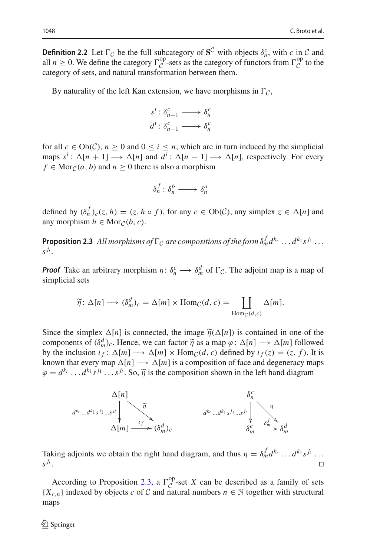**Definition 2.2** Let  $\Gamma_C$  be the full subcategory of  $S^C$  with objects  $\delta_n^c$ , with *c* in *C* and all  $n \geq 0$ . We define the category  $\Gamma_C^{op}$ -sets as the category of functors from  $\Gamma_C^{op}$  to the category of sets, and natural transformation between them.

By naturality of the left Kan extension, we have morphisms in  $\Gamma_{\mathcal{C}}$ ,

$$
s^i : \delta_{n+1}^c \longrightarrow \delta_n^c
$$
  

$$
d^i : \delta_{n-1}^c \longrightarrow \delta_n^c
$$

for all  $c \in Ob(C)$ ,  $n \ge 0$  and  $0 \le i \le n$ , which are in turn induced by the simplicial maps  $s^i$ :  $\Delta[n+1] \longrightarrow \Delta[n]$  and  $d^i$ :  $\Delta[n-1] \longrightarrow \Delta[n]$ , respectively. For every  $f \in \text{Mor}_{\mathcal{C}}(a, b)$  and  $n \geq 0$  there is also a morphism

$$
\delta_n^f : \delta_n^b \longrightarrow \delta_n^a
$$

<span id="page-5-0"></span>defined by  $(\delta_n^f)_c(z, h) = (z, h \circ f)$ , for any  $c \in Ob(\mathcal{C})$ , any simplex  $z \in \Delta[n]$  and any morphism  $h \in \text{Mor}_{\mathcal{C}}(b, c)$ .

**Proposition 2.3** All morphisms of  $\Gamma_C$  are compositions of the form  $\delta_m^f d^{k_r} \dots d^{k_1} s^{j_1} \dots$  $S^{j_t}$ .

*Proof* Take an arbitrary morphism  $\eta: \delta_n^c \longrightarrow \delta_m^d$  of  $\Gamma_c$ . The adjoint map is a map of simplicial sets *m*)*c* =  $\Delta[m] \times \mathcal{S}_n^c \longrightarrow \mathcal{S}_m^d$  of  $\Gamma_c$ . The ad  $\mathcal{S}_m^d$  *c* =  $\Box$ 

$$
\widetilde{\eta} \colon \Delta[n] \longrightarrow (\delta_m^d)_c = \Delta[m] \times \text{Hom}_{\mathcal{C}}(d, c) = \coprod_{\text{Hom}_{\mathcal{C}}(d, c)} \Delta[m].
$$
  
Since the simplex  $\Delta[n]$  is connected, the image  $\widetilde{\eta}(\Delta[n])$  is contained in one of the

Since the simplex  $\Delta[n]$  is connected, the image  $\tilde{\eta}(\Delta[n])$  is contained in one of the components of  $(\delta_m^d)_c$ . Hence, we can factor  $\tilde{\eta}$  as a map  $\varphi : \Delta[n] \longrightarrow \Delta[m]$  followed by the inclusion  $\iota_f : \Delta[m] \to \Delta[m] \times \text{Hom}_{\mathcal{C}}(d, c)$  defined by  $\iota_f(z) = (z, f)$ . It is known that every map  $\Delta[n] \longrightarrow \Delta[m]$  is a composition of face and degeneracy maps components of  $(\delta_m^d)_c$ . Hence, we can factor  $\tilde{\eta}$  as a map  $\varphi : \Delta[n] \longrightarrow \Delta[m]$  follow<br>by the inclusion  $\iota_f : \Delta[m] \longrightarrow \Delta[m] \times \text{Hom}_{\mathcal{C}}(d, c)$  defined by  $\iota_f(z) = (z, f)$ . I<br>known that every map  $\Delta[n] \longrightarrow \Delta[m]$  is a composition



Taking adjoints we obtain the right hand diagram, and thus  $\eta = \delta_m^f d^{k_r} \dots d^{k_1} s^{j_1} \dots$  $s^{j_t}$ .

According to Proposition [2.3,](#page-5-0) a  $\Gamma_C^{op}$ -set *X* can be described as a family of sets  ${X_{c,n}}$  indexed by objects *c* of *C* and natural numbers  $n \in \mathbb{N}$  together with structural maps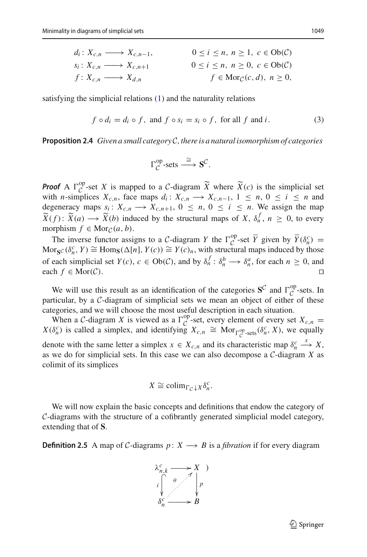$$
d_i: X_{c,n} \longrightarrow X_{c,n-1}, \qquad 0 \le i \le n, n \ge 1, c \in Ob(\mathcal{C})
$$
  
\n
$$
s_i: X_{c,n} \longrightarrow X_{c,n+1} \qquad 0 \le i \le n, n \ge 0, c \in Ob(\mathcal{C})
$$
  
\n
$$
f: X_{c,n} \longrightarrow X_{d,n} \qquad f \in Mor_{\mathcal{C}}(c,d), n \ge 0,
$$

satisfying the simplicial relations [\(1\)](#page-3-1) and the naturality relations

$$
f \circ d_i = d_i \circ f, \text{ and } f \circ s_i = s_i \circ f, \text{ for all } f \text{ and } i. \tag{3}
$$

**Proposition 2.4** *Given a small category C, there is a natural isomorphism of categories*

$$
\Gamma_{\mathcal{C}}^{\text{op-sets}} \stackrel{\cong}{\longrightarrow} \mathbf{S}^{\mathcal{C}}.
$$

*Proof* A  $\Gamma_{\mathcal{C}}^{\text{op}}$ **Proof** A  $\Gamma_C^{op}$ -set *X* is mapped to a *C*-diagram  $\widetilde{X}$  where  $\widetilde{X}(c)$  is the simplicial set with *n*-simplices  $X_{c,n}$ , face maps  $d_i: X_{c,n} \to X_{c,n-1}$ ,  $1 \leq n, 0 \leq i \leq n$  and degeneracy maps  $s_i: X_{c,n} \longrightarrow X_{c,n+1}$ ,  $0 \le n, 0 \le i \le n$ . We assign the map **Proof** A  $\Gamma_C^{\text{op}}$ -set *X*<br>with *n*-simplices *X*<br>degeneracy maps *s*<sub>*x*</sub><br> $\widetilde{X}(f)$ :  $\widetilde{X}(a) \longrightarrow \widetilde{X}$  $\widetilde{X}(b)$  induced by the structural maps of *X*,  $\delta_n^f$ ,  $n \geq 0$ , to every morphism  $f \in \text{Mor}_{\mathcal{C}}(a, b)$ .

The inverse functor assigns to a *C*-diagram *Y* the  $\Gamma_C^{op}$ -set  $\overline{Y}$  given by  $\overline{Y}(\delta_n^c)$  =  $\text{Mor}_{\mathbf{S}^{\mathcal{C}}}(\delta_n^c, Y) \cong \text{Hom}_{\mathbf{S}}(\Delta[n], Y(c)) \cong Y(c)_n$ , with structural maps induced by those of each simplicial set  $Y(c)$ ,  $c \in Ob(\mathcal{C})$ , and by  $\delta_n^f : \delta_n^b \longrightarrow \delta_n^a$ , for each  $n \ge 0$ , and each *f* ∈ Mor(*C*).  $□$ 

We will use this result as an identification of the categories  $S^C$  and  $\Gamma_C^{op}$ -sets. In timeles hy a *C* discussor of simplicial acts we mean an object of sither of these particular, by a *C*-diagram of simplicial sets we mean an object of either of these categories, and we will choose the most useful description in each situation.

When a *C*-diagram *X* is viewed as a  $\Gamma_C^{op}$ -set, every element of every set  $X_{c,n} =$  $X(\delta_n^c)$  is called a simplex, and identifying  $X_{c,n} \cong \text{Mor}_{\Gamma_c^{\text{op-sets}}}(\delta_n^c, X)$ , we equally denote with the same letter a simplex  $x \in X_{c,n}$  and its characteristic map  $\delta_n^c$ *x* −→ *X*, as we do for simplicial sets. In this case we can also decompose a *C*-diagram *X* as colimit of its simplices

$$
X \cong \operatorname{colim}_{\Gamma_{\mathcal{C}} \downarrow X} \delta_n^c.
$$

We will now explain the basic concepts and definitions that endow the category of *C*-diagrams with the structure of a cofibrantly generated simplicial model category, extending that of **S**.

**Definition 2.5** A map of *C*-diagrams  $p: X \rightarrow B$  is a *fibration* if for every diagram

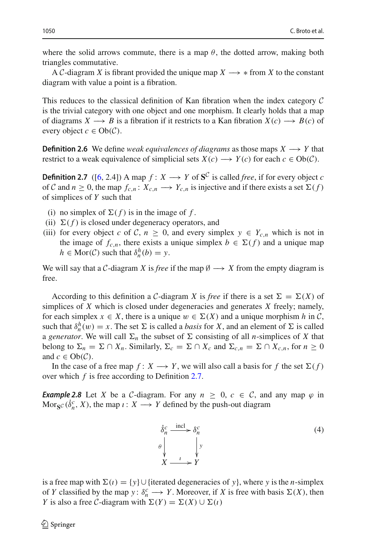where the solid arrows commute, there is a map  $\theta$ , the dotted arrow, making both triangles commutative.

A *C*-diagram *X* is fibrant provided the unique map  $X \rightarrow$  ∗ from *X* to the constant diagram with value a point is a fibration.

This reduces to the classical definition of Kan fibration when the index category *C* is the trivial category with one object and one morphism. It clearly holds that a map of diagrams  $X \longrightarrow B$  is a fibration if it restricts to a Kan fibration  $X(c) \longrightarrow B(c)$  of every object  $c \in Ob(\mathcal{C})$ .

**Definition 2.6** We define *weak equivalences of diagrams* as those maps  $X \rightarrow Y$  that restrict to a weak equivalence of simplicial sets  $X(c) \longrightarrow Y(c)$  for each  $c \in Ob(\mathcal{C})$ .

<span id="page-7-0"></span>**Definition 2.7** ([\[6](#page-39-2), 2.4]) A map  $f: X \rightarrow Y$  of  $S^C$  is called *free*, if for every object *c* of *C* and  $n \ge 0$ , the map  $f_{c,n}: X_{c,n} \longrightarrow Y_{c,n}$  is injective and if there exists a set  $\Sigma(f)$ of simplices of *Y* such that

- (i) no simplex of  $\Sigma(f)$  is in the image of f.
- (ii)  $\Sigma(f)$  is closed under degeneracy operators, and
- (iii) for every object *c* of *C*,  $n \geq 0$ , and every simplex  $y \in Y_{c,n}$  which is not in the image of  $f_{c,n}$ , there exists a unique simplex  $b \in \Sigma(f)$  and a unique map  $h \in \text{Mor}(\mathcal{C})$  such that  $\delta_n^h(b) = y$ .

We will say that a *C*-diagram *X* is *free* if the map  $\emptyset \longrightarrow X$  from the empty diagram is free.

According to this definition a *C*-diagram *X* is *free* if there is a set  $\Sigma = \Sigma(X)$  of simplices of *X* which is closed under degeneracies and generates *X* freely; namely, for each simplex  $x \in X$ , there is a unique  $w \in \Sigma(X)$  and a unique morphism *h* in *C*, such that  $\delta_n^h(w) = x$ . The set  $\Sigma$  is called a *basis* for *X*, and an element of  $\Sigma$  is called a *generator*. We will call  $\Sigma_n$  the subset of  $\Sigma$  consisting of all *n*-simplices of *X* that belong to  $\Sigma_n = \Sigma \cap X_n$ . Similarly,  $\Sigma_c = \Sigma \cap X_c$  and  $\Sigma_{c,n} = \Sigma \cap X_{c,n}$ , for  $n \geq 0$ and  $c \in Ob(\mathcal{C})$ .

<span id="page-7-1"></span>In the case of a free map  $f: X \longrightarrow Y$ , we will also call a basis for f the set  $\Sigma(f)$ over which *f* is free according to Definition [2.7.](#page-7-0)

*Example 2.8* Let *X* be a *C*-diagram. For any  $n \geq 0$ ,  $c \in C$ , and any map  $\varphi$  in  $\text{Mor}_{\mathbf{S}^{\mathcal{C}}}(\dot{\delta}_n^c, X)$ , the map  $\iota: X \longrightarrow Y$  defined by the push-out diagram

$$
\begin{aligned}\n\dot{\delta}_n^c &\xrightarrow{\text{incl}} \delta_n^c \\
\theta \downarrow \qquad \qquad \downarrow y \\
X &\xrightarrow{\iota} Y\n\end{aligned} \tag{4}
$$

is a free map with  $\Sigma(\iota) = \{y\} \cup \{\text{iterated degeneracies of } y\}$ , where *y* is the *n*-simplex of *Y* classified by the map *y* :  $\delta_n^c \to Y$ . Moreover, if *X* is free with basis  $\Sigma(X)$ , then *Y* is also a free *C*-diagram with  $\Sigma(Y) = \Sigma(X) \cup \Sigma(i)$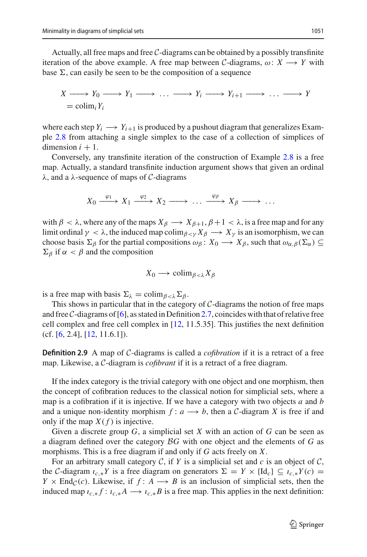Actually, all free maps and free *C*-diagrams can be obtained by a possibly transfinite iteration of the above example. A free map between *C*-diagrams,  $\omega: X \longrightarrow Y$  with base  $\Sigma$ , can easily be seen to be the composition of a sequence

$$
X \longrightarrow Y_0 \longrightarrow Y_1 \longrightarrow \dots \longrightarrow Y_i \longrightarrow Y_{i+1} \longrightarrow \dots \longrightarrow Y_i
$$
  
= colim<sub>i</sub>Y<sub>i</sub>

where each step  $Y_i \longrightarrow Y_{i+1}$  is produced by a pushout diagram that generalizes Example [2.8](#page-7-1) from attaching a single simplex to the case of a collection of simplices of dimension  $i + 1$ .

Conversely, any transfinite iteration of the construction of Example [2.8](#page-7-1) is a free map. Actually, a standard transfinite induction argument shows that given an ordinal λ, and a λ-sequence of maps of *C*-diagrams

$$
X_0 \xrightarrow{\varphi_1} X_1 \xrightarrow{\varphi_2} X_2 \xrightarrow{\qquad} \dots \xrightarrow{\varphi_\beta} X_\beta \xrightarrow{\qquad} \dots
$$

with  $\beta < \lambda$ , where any of the maps  $X_{\beta} \longrightarrow X_{\beta+1}, \beta+1 < \lambda$ , is a free map and for any limit ordinal  $\gamma < \lambda$ , the induced map colim<sub> $\beta < \gamma X_{\beta} \rightarrow X_{\gamma}$  is an isomorphism, we can</sub> choose basis  $\Sigma_\beta$  for the partial compositions  $\omega_\beta: X_0 \to X_\beta$ , such that  $\omega_{\alpha,\beta}(\Sigma_\alpha) \subseteq$  $\Sigma_{\beta}$  if  $\alpha < \beta$  and the composition

$$
X_0 \longrightarrow \mathrm{colim}_{\beta < \lambda} X_\beta
$$

is a free map with basis  $\Sigma_{\lambda} = \text{colim}_{\beta < \lambda} \Sigma_{\beta}$ .

This shows in particular that in the category of *C*-diagrams the notion of free maps and free *C*-diagrams of [\[6\]](#page-39-2), as stated in Definition [2.7,](#page-7-0) coincides with that of relative free cell complex and free cell complex in [\[12,](#page-39-1) 11.5.35]. This justifies the next definition  $(cf. [6, 2.4], [12, 11.6.1]).$  $(cf. [6, 2.4], [12, 11.6.1]).$  $(cf. [6, 2.4], [12, 11.6.1]).$  $(cf. [6, 2.4], [12, 11.6.1]).$  $(cf. [6, 2.4], [12, 11.6.1]).$ 

**Definition 2.9** A map of *C*-diagrams is called a *cofibration* if it is a retract of a free map. Likewise, a *C*-diagram is *cofibrant* if it is a retract of a free diagram.

If the index category is the trivial category with one object and one morphism, then the concept of cofibration reduces to the classical notion for simplicial sets, where a map is a cofibration if it is injective. If we have a category with two objects *a* and *b* and a unique non-identity morphism  $f: a \rightarrow b$ , then a *C*-diagram *X* is free if and only if the map  $X(f)$  is injective.

Given a discrete group *G*, a simplicial set *X* with an action of *G* can be seen as a diagram defined over the category *BG* with one object and the elements of *G* as morphisms. This is a free diagram if and only if *G* acts freely on *X*.

For an arbitrary small category  $C$ , if  $Y$  is a simplicial set and  $c$  is an object of  $C$ , the *C*-diagram  $\iota_{c,*}Y$  is a free diagram on generators  $\Sigma = Y \times {\rm Id}_c$   $\subseteq \iota_{c,*}Y(c)$  = *Y*  $\times$  End<sub>C</sub>(*c*). Likewise, if *f* : *A*  $\rightarrow$  *B* is an inclusion of simplicial sets, then the induced map  $\iota_{c,*} f : \iota_{c,*} A \longrightarrow \iota_{c,*} B$  is a free map. This applies in the next definition: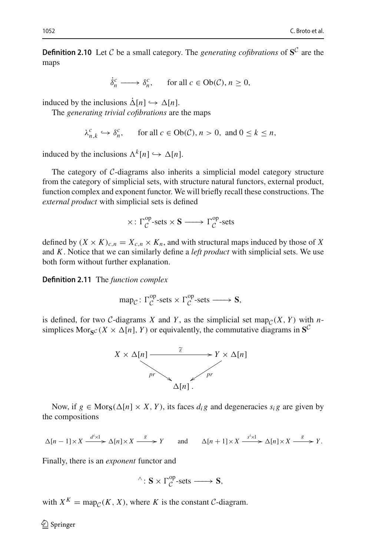**Definition 2.10** Let *C* be a small category. The *generating cofibrations* of  $S^C$  are the maps

$$
\dot{\delta}_n^c \longrightarrow \delta_n^c, \quad \text{for all } c \in Ob(\mathcal{C}), n \ge 0,
$$

induced by the inclusions  $\dot{\Delta}[n] \hookrightarrow \Delta[n]$ .

The *generating trivial cofibrations* are the maps

$$
\lambda_{n,k}^c \hookrightarrow \delta_n^c, \quad \text{for all } c \in Ob(\mathcal{C}), n > 0, \text{ and } 0 \le k \le n,
$$

induced by the inclusions  $\Lambda^k[n] \hookrightarrow \Delta[n]$ .

The category of *C*-diagrams also inherits a simplicial model category structure from the category of simplicial sets, with structure natural functors, external product, function complex and exponent functor. We will briefly recall these constructions. The *external product* with simplicial sets is defined

$$
\times\colon\Gamma_{\mathcal{C}}^{\text{op}}\text{-sets}\times\mathbf{S}\longrightarrow\Gamma_{\mathcal{C}}^{\text{op}}\text{-sets}
$$

defined by  $(X \times K)_{c,n} = X_{c,n} \times K_n$ , and with structural maps induced by those of X and *K*. Notice that we can similarly define a *left product* with simplicial sets. We use both form without further explanation.

<span id="page-9-0"></span>**Definition 2.11** The *function complex*

$$
\operatorname{map}_{\mathcal{C}}: \Gamma_{\mathcal{C}}^{\operatorname{op}}\text{-sets} \times \Gamma_{\mathcal{C}}^{\operatorname{op}}\text{-sets} \longrightarrow \mathbf{S},
$$

is defined, for two *C*-diagrams *X* and *Y*, as the simplicial set map<sub>*C*</sub>(*X*, *Y*) with *n*simplices Mor<sub>S</sub> $c(X \times \Delta[n], Y)$  or equivalently, the commutative diagrams in S<sup>C</sup>



Now, if  $g \in \text{Mors}(\Delta[n] \times X, Y)$ , its faces  $d_i g$  and degeneracies  $s_i g$  are given by the compositions

$$
\Delta[n-1] \times X \xrightarrow{d^i \times 1} \Delta[n] \times X \xrightarrow{g} Y \quad \text{and} \quad \Delta[n+1] \times X \xrightarrow{s^i \times 1} \Delta[n] \times X \xrightarrow{g} Y.
$$

Finally, there is an *exponent* functor and

$$
\hat{}': S \times \Gamma_{\mathcal{C}}^{op}\text{-sets} \longrightarrow S,
$$

with  $X^K = \text{map}_{\mathcal{C}}(K, X)$ , where *K* is the constant *C*-diagram.

 $\bigcirc$  Springer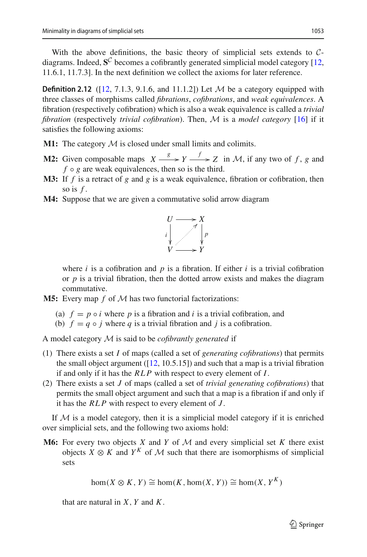With the above definitions, the basic theory of simplicial sets extends to *C*diagrams. Indeed,  $S^C$  becomes a cofibrantly generated simplicial model category [\[12,](#page-39-1) 11.6.1, 11.7.3]. In the next definition we collect the axioms for later reference.

<span id="page-10-0"></span>**Definition 2.12** ( $[12, 7.1.3, 9.1.6, \text{ and } 11.1.2]$  $[12, 7.1.3, 9.1.6, \text{ and } 11.1.2]$ ) Let *M* be a category equipped with three classes of morphisms called *fibrations*, *cofibrations*, and *weak equivalences*. A fibration (respectively cofibration) which is also a weak equivalence is called a *trivial fibration* (respectively *trivial cofibration*). Then, *M* is a *model category* [\[16\]](#page-39-10) if it satisfies the following axioms:

- **M1:** The category *M* is closed under small limits and colimits.
- **M2:** Given composable maps  $X \xrightarrow{g} Y \xrightarrow{f} Z$  in *M*, if any two of *f*, *g* and  $f \circ g$  are weak equivalences, then so is the third.
- **M3:** If *f* is a retract of *g* and *g* is a weak equivalence, fibration or cofibration, then so is *f* .
- **M4:** Suppose that we are given a commutative solid arrow diagram



where *i* is a cofibration and *p* is a fibration. If either *i* is a trivial cofibration or *p* is a trivial fibration, then the dotted arrow exists and makes the diagram commutative.

- **M5:** Every map *f* of *M* has two functorial factorizations:
	- (a)  $f = p \circ i$  where p is a fibration and i is a trivial cofibration, and
	- (b)  $f = q \circ j$  where q is a trivial fibration and j is a cofibration.

A model category *M* is said to be *cofibrantly generated* if

- (1) There exists a set *I* of maps (called a set of *generating cofibrations*) that permits the small object argument  $(12, 10.5.15)$  and such that a map is a trivial fibration if and only if it has the *RLP* with respect to every element of *I*.
- (2) There exists a set *J* of maps (called a set of *trivial generating cofibrations*) that permits the small object argument and such that a map is a fibration if and only if it has the *RLP* with respect to every element of *J* .

If  $M$  is a model category, then it is a simplicial model category if it is enriched over simplicial sets, and the following two axioms hold:

**M6:** For every two objects *X* and *Y* of *M* and every simplicial set *K* there exist objects  $X \otimes K$  and  $Y^K$  of M such that there are isomorphisms of simplicial sets

$$
\text{hom}(X \otimes K, Y) \cong \text{hom}(K, \text{hom}(X, Y)) \cong \text{hom}(X, Y^K)
$$

that are natural in *X*, *Y* and *K*.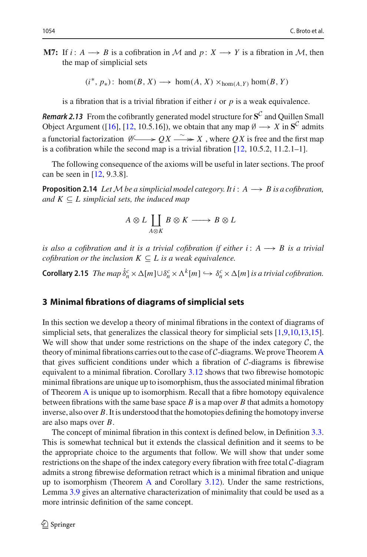**M7:** If  $i: A \rightarrow B$  is a cofibration in *M* and  $p: X \rightarrow Y$  is a fibration in *M*, then the map of simplicial sets

 $(i^*, p_*)$ : hom(*B*, *X*) → hom(*A*, *X*) ×<sub>hom(*A*, *Y*) hom(*B*, *Y*)</sub>

is a fibration that is a trivial fibration if either *i* or *p* is a weak equivalence.

<span id="page-11-3"></span>*Remark 2.13* From the cofibrantly generated model structure for **S***<sup>C</sup>* and Quillen Small Object Argument ([\[16\]](#page-39-10), [\[12](#page-39-1), 10.5.16]), we obtain that any map  $\emptyset \longrightarrow X$  in  $S^C$  admits a functorial factorization  $\emptyset \longrightarrow OX \longrightarrow X$ , where *QX* is free and the first map is a cofibration while the second map is a trivial fibration [\[12](#page-39-1), 10.5.2, 11.2.1–1].

The following consequence of the axioms will be useful in later sections. The proof can be seen in [\[12,](#page-39-1) 9.3.8].

<span id="page-11-2"></span>**Proposition 2.14** *LetMbe a simplicial model category. It i* : *A* −→ *B is a cofibration, and*  $K \subseteq L$  *simplicial sets, the induced map* .<br>*be a simplic<br>ts, the indu*<br>A ⊗ L  $\coprod$ 

$$
A \otimes L \coprod_{A \otimes K} B \otimes K \longrightarrow B \otimes L
$$

*is also a cofibration and it is a trivial cofibration if either i* :  $A \rightarrow B$  *is a trivial cofibration or the inclusion*  $K \subseteq L$  *is a weak equivalence.* 

<span id="page-11-1"></span>**Corollary 2.15** *The map*  $\dot{\delta}_n^c \times \Delta[m] \cup \delta_n^c \times \Lambda^k[m] \hookrightarrow \delta_n^c \times \Delta[m]$  *is a trivial cofibration.* 

# <span id="page-11-0"></span>**3 Minimal fibrations of diagrams of simplicial sets**

In this section we develop a theory of minimal fibrations in the context of diagrams of simplicial sets, that generalizes the classical theory for simplicial sets [\[1](#page-39-0)[,9](#page-39-11)[,10](#page-39-8)[,13](#page-39-12)[,15](#page-39-9)]. We will show that under some restrictions on the shape of the index category *C*, the theory of minimal fibrations carries out to the case of  $C$ -diagrams. We prove Theorem [A](#page-1-0) that gives sufficient conditions under which a fibration of *C*-diagrams is fibrewise equivalent to a minimal fibration. Corollary [3.12](#page-20-1) shows that two fibrewise homotopic minimal fibrations are unique up to isomorphism, thus the associated minimal fibration of Theorem [A](#page-1-0) is unique up to isomorphism. Recall that a fibre homotopy equivalence between fibrations with the same base space *B* is a map over *B* that admits a homotopy inverse, also over *B*. It is understood that the homotopies defining the homotopy inverse are also maps over *B*.

The concept of minimal fibration in this context is defined below, in Definition [3.3.](#page-12-1) This is somewhat technical but it extends the classical definition and it seems to be the appropriate choice to the arguments that follow. We will show that under some restrictions on the shape of the index category every fibration with free total *C*-diagram admits a strong fibrewise deformation retract which is a minimal fibration and unique up to isomorphism (Theorem [A](#page-1-0) and Corollary [3.12\)](#page-20-1). Under the same restrictions, Lemma [3.9](#page-16-0) gives an alternative characterization of minimality that could be used as a more intrinsic definition of the same concept.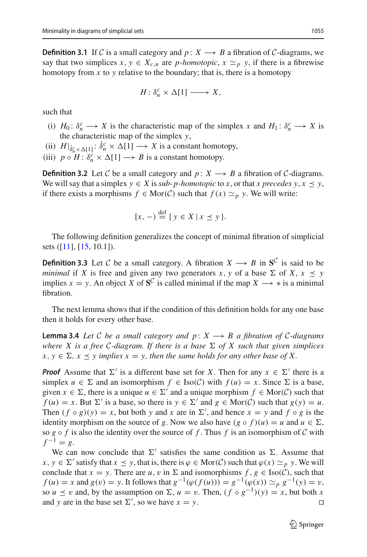**Definition 3.1** If *C* is a small category and *p* : *X*  $\rightarrow$  *B* a fibration of *C*-diagrams, we say that two simplices  $x, y \in X_{c,n}$  are *p-homotopic*,  $x \simeq_p y$ , if there is a fibrewise homotopy from  $x$  to  $y$  relative to the boundary; that is, there is a homotopy

$$
H: \delta_n^c \times \Delta[1] \longrightarrow X,
$$

such that

- (i)  $H_0: \delta_n^c \to X$  is the characteristic map of the simplex *x* and  $H_1: \delta_n^c \to X$  is the characteristic map of the simplex *y*,
- (ii)  $H|_{\delta_n^c \times \Delta[1]} : \delta_n^c \times \Delta[1] \longrightarrow X$  is a constant homotopy,
- (iii)  $p \circ H : \delta_n^c \times \Delta[1] \longrightarrow B$  is a constant homotopy.

<span id="page-12-0"></span>**Definition 3.2** Let C be a small category and  $p: X \rightarrow B$  a fibration of C-diagrams. We will say that a simplex  $y \in X$  is *sub-p-homotopic* to *x*, or that *x* precedes  $y, x \prec y$ , if there exists a morphisms *f* ∈ Mor(*C*) such that  $f(x) \simeq_p y$ . We will write:

$$
[x, -) \stackrel{\text{def}}{=} \{ y \in X \mid x \preceq y \}.
$$

<span id="page-12-1"></span>The following definition generalizes the concept of minimal fibration of simplicial sets ([\[11\]](#page-39-13), [\[15](#page-39-9), 10.1]).

**Definition 3.3** Let *C* be a small category. A fibration  $X \rightarrow B$  in  $S^C$  is said to be *minimal* if *X* is free and given any two generators *x*, *y* of a base  $\Sigma$  of *X*,  $x \le y$ implies  $x = y$ . An object *X* of  $S^C$  is called minimal if the map  $X \rightarrow *$  is a minimal fibration.

The next lemma shows that if the condition of this definition holds for any one base then it holds for every other base.

**Lemma 3.4** *Let C be a small category and*  $p: X \rightarrow B$  *a fibration of C-diagrams where X* is a free *C*-diagram. If there is a base  $\Sigma$  of *X* such that given simplices  $x, y \in \Sigma$ ,  $x \preceq y$  implies  $x = y$ , then the same holds for any other base of X.

*Proof* Assume that  $\Sigma'$  is a different base set for *X*. Then for any  $x \in \Sigma'$  there is a simplex  $u \in \Sigma$  and an isomorphism  $f \in \text{Iso}(\mathcal{C})$  with  $f(u) = x$ . Since  $\Sigma$  is a base, given  $x \in \Sigma$ , there is a unique  $u \in \Sigma'$  and a unique morphism  $f \in \text{Mor}(\mathcal{C})$  such that  $f(u) = x$ . But  $\Sigma'$  is a base, so there is  $y \in \Sigma'$  and  $g \in \text{Mor}(\mathcal{C})$  such that  $g(y) = u$ . Then  $(f \circ g)(y) = x$ , but both *y* and *x* are in  $\Sigma'$ , and hence  $x = y$  and  $f \circ g$  is the identity morphism on the source of *g*. Now we also have  $(g \circ f)(u) = u$  and  $u \in \Sigma$ , so  $g \circ f$  is also the identity over the source of  $f$ . Thus  $f$  is an isomorphism of  $C$  with  $f^{-1} = g$ .

We can now conclude that  $\Sigma'$  satisfies the same condition as  $\Sigma$ . Assume that *x*, *y* ∈  $\Sigma'$  satisfy that *x*  $\leq$  *y*, that is, there is  $\varphi$  ∈ Mor(*C*) such that  $\varphi$ (*x*)  $\approx$  *p y*. We will conclude that  $x = y$ . There are *u*, *v* in  $\Sigma$  and isomorphisms  $f, g \in Iso(\mathcal{C})$ , such that *f* (*u*) = *x* and *g*(*v*) = *y*. It follows that  $g^{-1}(\varphi(f(u))) = g^{-1}(\varphi(x)) \simeq_p g^{-1}(y) = v$ , so  $u \le v$  and, by the assumption on  $\Sigma$ ,  $u = v$ . Then,  $(f \circ g^{-1})(y) = x$ , but both *x* and *y* are in the base set  $\Sigma'$ , so we have  $x = y$ .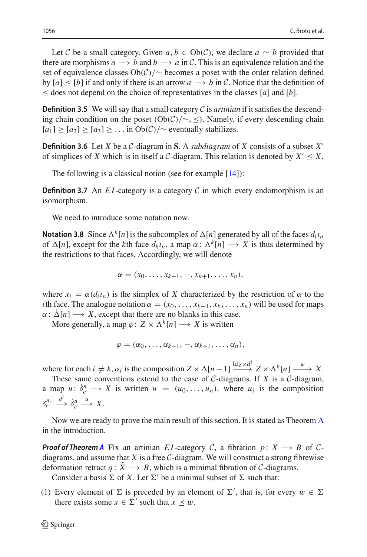Let *C* be a small category. Given *a*, *b* ∈ Ob(*C*), we declare *a* ∼ *b* provided that there are morphisms  $a \rightarrow b$  and  $b \rightarrow a$  in C. This is an equivalence relation and the set of equivalence classes Ob(*C*)/∼ becomes a poset with the order relation defined by  $[a] \leq [b]$  if and only if there is an arrow  $a \rightarrow b$  in C. Notice that the definition of  $\leq$  does not depend on the choice of representatives in the classes [*a*] and [*b*].

<span id="page-13-0"></span>**Definition 3.5** We will say that a small category  $C$  is *artinian* if it satisfies the descending chain condition on the poset (Ob(*C*)/∼, ≤). Namely, if every descending chain  $[a_1] \geq [a_2] \geq [a_3] \geq \ldots$  in Ob(*C*)/∼ eventually stabilizes.

**Definition 3.6** Let *X* be a *C*-diagram in **S**. A *subdiagram* of *X* consists of a subset *X* of simplices of *X* which is in itself a *C*-diagram. This relation is denoted by  $X' \leq X$ .

The following is a classical notion (see for example  $[14]$  $[14]$ ):

**Definition 3.7** An  $EI$ -category is a category  $C$  in which every endomorphism is an isomorphism.

We need to introduce some notation now.

**Notation 3.8** Since  $\Lambda^k[n]$  is the subcomplex of  $\Delta[n]$  generated by all of the faces  $d_i\iota_n$ of  $\Delta[n]$ , except for the *k*th face  $d_k \iota_n$ , a map  $\alpha : \Lambda^k[n] \longrightarrow X$  is thus determined by the restrictions to that faces. Accordingly, we will denote

$$
\alpha=(x_0,\ldots,x_{k-1},\ldots,x_{k+1},\ldots,x_n),
$$

where  $x_i = \alpha(d_i t_n)$  is the simplex of X characterized by the restriction of  $\alpha$  to the *i*th face. The analogue notation  $\alpha = (x_0, \ldots, x_{k-1}, x_k, \ldots, x_n)$  will be used for maps  $\alpha: \Delta[n] \longrightarrow X$ , except that there are no blanks in this case.

More generally, a map  $\varphi$ :  $Z \times \Lambda^k[n] \longrightarrow X$  is written

$$
\varphi = (\alpha_0, \ldots, \alpha_{k-1}, -, \alpha_{k+1}, \ldots, \alpha_n),
$$

where for each  $i \neq k$ ,  $\alpha_i$  is the composition  $Z \times \Delta[n-1] \xrightarrow{\text{Id}_Z \times d^i} Z \times \Lambda^k[n] \xrightarrow{\varphi} X$ .

These same conventions extend to the case of *C*-diagrams. If *X* is a *C*-diagram, a map  $u: \dot{\delta}_c^n \longrightarrow X$  is written  $u = (u_0, \ldots, u_n)$ , where  $u_i$  is the composition  $\delta_c^{n_1} \xrightarrow{d^i} \dot{\delta}_c^n$  $\xrightarrow{u} X$ .

Now we are ready to prove the main result of this section. It is stated as Theorem [A](#page-1-0) in the introduction.

*Proof of Theorem [A](#page-1-0)* Fix an artinian *E1*-category *C*, a fibration *p* :  $X \rightarrow B$  of *C*diagrams, and assume that  $X$  is a free  $C$ -diagram. We will construct a strong fibrewise deformation retract  $q: X \longrightarrow B$ , which is a minimal fibration of *C*-diagrams.

Consider a basis  $\Sigma$  of X. Let  $\Sigma'$  be a minimal subset of  $\Sigma$  such that:

(1) Every element of  $\Sigma$  is preceded by an element of  $\Sigma'$ , that is, for every  $w \in \Sigma$ there exists some  $x \in \Sigma'$  such that  $x \prec w$ .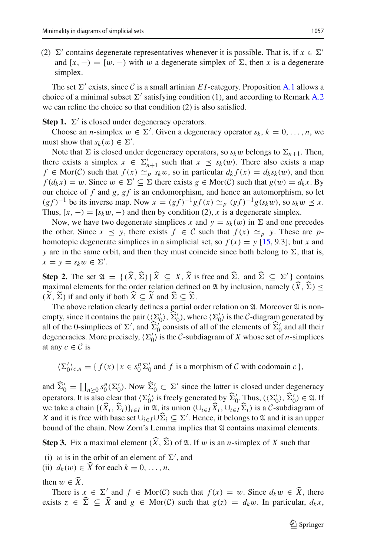(2)  $\Sigma'$  contains degenerate representatives whenever it is possible. That is, if  $x \in \Sigma'$ and  $[x, -) = [w, -)$  with w a degenerate simplex of  $\Sigma$ , then x is a degenerate simplex.

The set  $\Sigma'$  exists, since C is a small artinian *E1*-category. Proposition [A.1](#page-28-1) allows a choice of a minimal subset  $\Sigma'$  satisfying condition (1), and according to Remark [A.2](#page-28-2) we can refine the choice so that condition (2) is also satisfied.

**Step 1.**  $\Sigma'$  is closed under degeneracy operators.

Choose an *n*-simplex  $w \in \Sigma'$ . Given a degeneracy operator  $s_k$ ,  $k = 0, \ldots, n$ , we must show that  $s_k(w) \in \Sigma'$ .

Note that  $\Sigma$  is closed under degeneracy operators, so  $s_k w$  belongs to  $\Sigma_{n+1}$ . Then, there exists a simplex  $x \in \Sigma'_{n+1}$  such that  $x \preceq s_k(w)$ . There also exists a map *f* ∈ Mor(*C*) such that  $f(x) \simeq_{p} s_k w$ , so in particular  $d_k f(x) = d_k s_k(w)$ , and then  $f(d_kx) = w$ . Since  $w \in \Sigma' \subseteq \Sigma$  there exists  $g \in \text{Mor}(\mathcal{C})$  such that  $g(w) = d_kx$ . By our choice of f and g, gf is an endomorphism, and hence an automorphism, so let  $(g f)^{-1}$  be its inverse map. Now  $x = (gf)^{-1} gf(x) \simeq_p (gf)^{-1} g(s_k w)$ , so  $s_k w \leq x$ . Thus,  $[x, -) = [s_k w, -)$  and then by condition (2), *x* is a degenerate simplex.

Now, we have two degenerate simplices *x* and  $y = s_k(w)$  in  $\Sigma$  and one precedes the other. Since  $x \leq y$ , there exists  $f \in C$  such that  $f(x) \simeq_p y$ . These are *p*homotopic degenerate simplices in a simplicial set, so  $f(x) = y$  [\[15](#page-39-9), 9.3]; but *x* and *y* are in the same orbit, and then they must coincide since both belong to  $\Sigma$ , that is,  $x = y = s_k w \in \Sigma'.$ homotopic degenerate simplices in a simplicial set, so  $f(x) = y$  [15, 9.3]; but x and y are in the same orbit, and then they must coincide since both belong to  $\Sigma$ , that is,  $x = y = s_k w \in \Sigma'$ .<br>**Step 2.** The set  $\mathfrak{A} = \{(\widehat$ 

y are in the same orbit, and then they must coincide since both belong to  $\Sigma$ , that is,<br>  $x = y = s_k w \in \Sigma'$ .<br> **Step 2.** The set  $\mathfrak{A} = \{(\hat{X}, \hat{\Sigma}) | \hat{X} \subseteq X, \hat{X} \text{ is free and } \hat{\Sigma} \in \Sigma' \}$  contains<br>
maximal elements for the orde  $x = y = s_k w \in \Sigma'$ .<br> **Step 2.** The set  $\mathfrak{A} = \{ (\widehat{X}, \widehat{\Sigma}) | \widehat{X} \subseteq X, \widehat{X} \}$ <br>
maximal elements for the order relation define<br>  $(\widetilde{X}, \widetilde{\Sigma})$  if and only if both  $\widehat{X} \subseteq \widetilde{X}$  and  $\widehat{\Sigma} \subseteq \widetilde{\Sigma}$  $(\widetilde{X}, \widetilde{\Sigma})$  if and only if both  $\widehat{X} \subseteq \widetilde{X}$  and  $\widehat{\Sigma} \subseteq \widetilde{\Sigma}$ . maximal elements for the order relation defined on 2l by inclusion, namely  $(\widehat{X}, \widehat{\Sigma}) \leq$ 

The above relation clearly defines a partial order relation on  $\mathfrak A$ . Moreover  $\mathfrak A$  is nonempty, since it contains the pair  $(\langle \Sigma'_0 \rangle, \Sigma'_0)$ , where  $\langle \Sigma'_0 \rangle$  is the *C*-diagram generated by all of the 0-simplices of  $\Sigma'$ , and  $\Sigma'_0$  consists of all of the elements of  $\Sigma'_0$  and all their  $\widehat{X} \subseteq \widetilde{X}$  and  $\widehat{\Sigma} \subseteq \widetilde{\Sigma}$ .<br>
y defines a partial order relation on  $\mathfrak{A}$ . Moreor pair  $((\Sigma'_0), \widehat{\Sigma}'_0)$ , where  $(\Sigma'_0)$  is the C-diagram and  $\widehat{\Sigma}'_0$  consists of all of the elements of  $\widehat{\Sigma}'_0$ degeneracies. More precisely,  $\langle \Sigma_0' \rangle$  is the *C*-subdiagram of *X* whose set of *n*-simplices at any  $c \in \mathcal{C}$  is

 $\langle \Sigma_0' \rangle_{c,n} = \{ f(x) \mid x \in s_0^n \Sigma_0' \text{ and } f \text{ is a morphism of } C \text{ with codomain } c \},\$ 

 $\langle \Sigma'_0 \rangle_{c,n} = \{ f(x) \mid x \in s_0^n \Sigma'_0 \text{ and } f \text{ is a morphism of } C \text{ with codomain } c \},$ <br>and  $\widehat{\Sigma}'_0 = \coprod_{n \geq 0} s_0^n(\Sigma'_0)$ . Now  $\widehat{\Sigma}'_0 \subset \Sigma'$  since the latter is closed under degeneracy  $c \in C$  is<br>  $\sum_{0}^{\prime} c_{0} = \{ f(x) \mid x \in s_{0}^{n} \sum_{0}^{\prime} c_{0} \}$ <br>  $\sum_{0}^{\prime} = \prod_{n \geq 0} s_{0}^{n} (\sum_{0}^{\prime})$ . Now  $\widehat{\Sigma}_{0}^{\prime}$  $\langle \Sigma'_0 \rangle_{c,n} = \{ f(x) \mid x \in s_0^n \Sigma'_0 \text{ and } f \text{ is a morphism of } C \text{ with codomain } c \},$ <br>and  $\widehat{\Sigma}'_0 = \coprod_{n \geq 0} s_0^n(\Sigma'_0)$ . Now  $\widehat{\Sigma}'_0 \subset \Sigma'$  since the latter is closed under degeneracy<br>operators. It is also clear that  $\langle \Sigma'_0 \rangle$  is freely genera and  $\hat{\Sigma}_0' = \coprod_{n \geq 0} s_0^n(\Sigma_0').$  Now  $\hat{\Sigma}_0' \subset \Sigma'$  since the latter is closed under degeneracy<br>operators. It is also clear that  $(\Sigma_0')$  is freely generated by  $\hat{\Sigma}_0'$ . Thus,  $((\Sigma_0'), \hat{\Sigma}_0') \in \mathfrak{A}$ . If<br>we take a cha and  $\widehat{\Sigma}'_0 = \coprod_{n \geq 0} s_0^n(\Sigma'_0)$ . Now  $\widehat{\Sigma}'_0 \subset \Sigma'$  sincperators. It is also clear that  $\{\Sigma'_0\}$  is freely g<br>we take a chain  $\{(\widehat{X}_i, \widehat{\Sigma}_i)\}_{i \in I}$  in  $\mathfrak{A}$ , its union  $X$  and it is free with base set  $\cup_{i \$ X and it is free with base set  $\bigcup_{i \in I} \bigcup \widehat{\Sigma}_i \subseteq \Sigma'$ . Hence, it belongs to  $\mathfrak A$  and it is an upper bound of the chain. Now Zorn's Lemma implies that  $\mathfrak A$  contains maximal elements. we take a chain  $\{(X_i, \Sigma_i)\}_{i \in I}$  in  $\mathfrak{A}$ , its union  $(\cup_{i \in I} X_i, \cup_{i \in I} \Sigma_i)$  is a *C*-subdiagran *X* and it is free with base set  $\cup_{i \in I} \cup \widehat{\Sigma}_i \subseteq \Sigma'$ . Hence, it belongs to  $\mathfrak{A}$  and it is an *u* bound of t

**Step 3.** Fix a maximal element  $(\widehat{X}, \widehat{\Sigma})$  of  $\mathfrak{A}$ . If w is an *n*-simplex of X such that

(i) w is in the orbit of an element of  $\Sigma'$ , and

(ii)  $d_k(w) \in \widehat{X}$  for each  $k = 0, ..., n$ ,<br>then  $w \in \widehat{X}$ .

There is  $x \in \Sigma'$  and  $f \in \text{Mor}(\mathcal{C})$  such that  $f(x) = w$ . Since  $d_k w \in \widehat{X}$ , there exists  $z \in \hat{\Sigma} \subseteq \hat{X}$  and  $g \in \text{Mor}(\mathcal{C})$  such that  $g(z) = d_k w$ . In particular,  $d_k x$ ,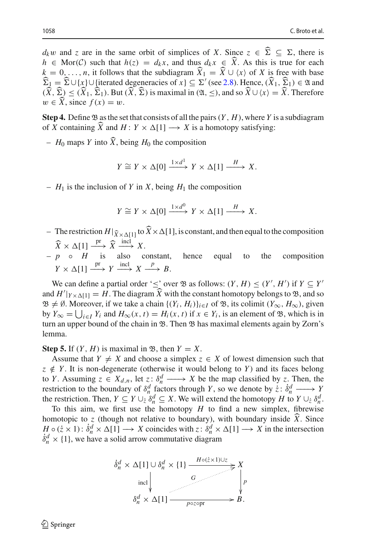1058<br> *d<sub>k</sub>w* and *z* are in the same orbit of simplices of *X*. Since  $z \in \hat{\Sigma} \subseteq \Sigma$ , there is **h** ∈ Mor(*C*) such that *h*(*z*) = *d<sub>k</sub>x*, and thus *d<sub>k</sub>x* ∈  $\hat{X}$ . As this is true for each *h* ∈ Mor(*C*) such that *h*(*z*) = *d<sub>k</sub>x*, and thus *d<sub>k</sub>x* ∈  $\hat{X}$ . As this is true for each *d<sub>k</sub>w* and *z* are in the same orbit of simplices of *X*. Since *z* ∈  $\hat{\Sigma}$  ⊆  $\Sigma$ , there is *h* ∈ Mor(*C*) such that *h*(*z*) = *d<sub>k</sub>x*, and thus *d<sub>k</sub>x* ∈  $\hat{X}$ . As this is true for each  $k = 0,..., n$ , it follows that *d<sub>k</sub>w* and *z* are in the same orbit of simplices of *X*. Since  $z \in \hat{\Sigma} \subseteq \Sigma$ , there is  $h \in \text{Mor}(\mathcal{C})$  such that  $h(z) = d_k x$ , and thus  $d_k x \in \hat{X}$ . As this is true for each  $k = 0, ..., n$ , it follows that the subdiagram  $\$  $h \in \text{Mor}(\mathcal{C})$  such that  $h(z) = d_k x$ , and thus  $d_k x \in \hat{X}$ . As this is true for each  $k = 0, ..., n$ , it follows that the subdiagram  $\hat{X}_1 = \hat{X} \cup \langle x \rangle$  of X is free with base  $\hat{\Sigma}_1 = \hat{\Sigma} \cup \{x\} \cup \{\text{iterated degeneracies of } x\} \subseteq \Sigma'$  (see 2  $k = 0, ..., n$ , it follows<br>  $\widehat{\Sigma}_1 = \widehat{\Sigma} \cup \{x\} \cup \{\text{iterated}$ <br>  $(\widehat{X}, \widehat{\Sigma}) \leq (\widehat{X}_1, \widehat{\Sigma}_1)$ . But<br>  $w \in \widehat{X}$ , since  $f(x) = w$ .  $(\widehat{X}, \widehat{\Sigma}) \leq (\widehat{X}_1, \widehat{\Sigma}_1)$ . But  $(\widehat{X}, \widehat{\Sigma})$  is maximal in  $(\mathfrak{A}, \leq)$ , and so  $\widehat{X} \cup \langle x \rangle = \widehat{X}$ . Therefore  $w \in \widehat{X}$ , since  $f(x) = w$ .<br>**Step 4.** Define  $\mathfrak{B}$  as the set that consists of all the pairs

**Step 4.** Define  $\mathfrak{B}$  as the set that consists of all the pairs  $(Y, H)$ , where *Y* is a subdiagram

–  $H_0$  maps *Y* into  $\widehat{X}$ , being  $H_0$  the composition

$$
Y \cong Y \times \Delta[0] \xrightarrow{1 \times d^1} Y \times \Delta[1] \xrightarrow{H} X.
$$

 $-H_1$  is the inclusion of *Y* in *X*, being  $H_1$  the composition

$$
Y \cong Y \times \Delta[0] \xrightarrow{1 \times d^0} Y \times \Delta[1] \xrightarrow{H} X.
$$

- $Y \cong Y \times \Delta[0] \xrightarrow{1 \times d^0} Y \times \Delta[1] \xrightarrow{H} X$ .<br>- The restriction  $H|_{\widehat{X} \times \Delta[1]}$  to  $\widehat{X} \times \Delta[1]$ , is constant, and then equal to the composition  $\widehat{X} \times \Delta[1] \xrightarrow{\text{pr}} \widehat{X} \xrightarrow{\text{incl}} X.$  $Y \cong$ <br>tion  $H|_{\hat{X} \times \Delta}$ <br> $\xrightarrow{\text{pr}} \hat{X} \xrightarrow{\text{incl}}$
- *p H* is also constant, hence equal to the composition  $Y \times \Delta[1] \xrightarrow{\text{pr}} Y \xrightarrow{\text{incl}} X \xrightarrow{p} B.$

We can define a partial order ' $\leq$ ' over  $\mathfrak{B}$  as follows:  $(Y, H) \leq (Y', H')$  if  $Y \subseteq Y'$ and  $H'|_{Y \times \Delta[1]} = H$ . The diagram  $\widehat{X}$  with the constant homotopy belongs to  $\mathfrak{B}$ , and so  $\langle \Delta[1] \xrightarrow{pr} Y \xrightarrow{incl} X \xrightarrow{p} B.$ <br>
can define a partial order 's' over  $\mathfrak{B}$  as follows:  $(Y, H) \leq (Y', H')$  if  $Y \subseteq Y'$ <br>  $|Y \times \Delta[1]} = H$ . The diagram  $\hat{X}$  with the constant homotopy belongs to  $\mathfrak{B}$ , and so  $\mathfrak{B} \neq \emptyset$ . Moreover, if we take a chain  $\{(Y_i, H_i)\}_{i \in I}$  of  $\mathfrak{B}$ , its colimit  $(Y_\infty, H_\infty)$ , given We can d<br>and  $H'|_{Y \times \Delta}$ <br> $\mathfrak{B} \neq \emptyset$ . Mor<br>by  $Y_{\infty} = \bigcup$ by  $Y_{\infty} = \bigcup_{i \in I} Y_i$  and  $H_{\infty}(x, t) = H_i(x, t)$  if  $x \in Y_i$ , is an element of  $\mathfrak{B}$ , which is in turn an upper bound of the chain in  $\mathfrak{B}$ . Then  $\mathfrak{B}$  has maximal elements again by Zorn's lemma.

**Step 5.** If  $(Y, H)$  is maximal in  $\mathfrak{B}$ , then  $Y = X$ .

Assume that  $Y \neq X$  and choose a simplex  $z \in X$  of lowest dimension such that  $z \notin Y$ . It is non-degenerate (otherwise it would belong to *Y*) and its faces belong to *Y*. Assuming  $z \in X_{d,n}$ , let  $z: \delta_n^d \longrightarrow X$  be the map classified by *z*. Then, the restriction to the boundary of  $\delta_n^d$  factors through Y, so we denote by  $\dot{z}: \dot{\delta}_n^d \longrightarrow Y$ <br>the restriction. Then,  $Y \subseteq Y \cup_{\dot{z}} \delta_n^d \subseteq X$ . We will extend the homotopy H to  $Y \cup_{\dot{z}} \delta_n^d$ .<br>To this aim, we first use the the restriction. Then,  $Y \subseteq Y \cup_{z} \delta_n^d \subseteq X$ . We will extend the homotopy *H* to  $Y \cup_{z} \delta_n^d$ .

To this aim, we first use the homotopy  $H$  to find a new simplex, fibrewise  $H \circ (\dot{z} \times 1)$ :  $\dot{\delta}_n^d \times \Delta[1] \longrightarrow X$  coincides with  $z \colon \delta_n^d \times \Delta[1] \longrightarrow X$  in the intersection  $\dot{\delta}_n^d \times \{1\}$ , we have a solid arrow commutative diagram

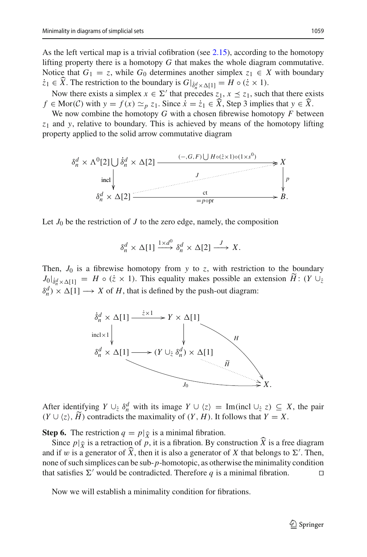As the left vertical map is a trivial cofibration (see [2.15\)](#page-11-1), according to the homotopy lifting property there is a homotopy *G* that makes the whole diagram commutative. Notice that  $G_1 = z$ , while  $G_0$  determines another simplex  $z_1 \in X$  with boundary As the left vertical map is a trivial cofibration (see 2.15), according lifting property there is a homotopy *G* that makes the whole diagra<br>Notice that  $G_1 = z$ , while  $G_0$  determines another simplex  $z_1 \in \mathcal{Z}$ .<br> $\dot{z$ *f* ≤ *f* (*x*) *f f f f <i>f <i>f <i>s <i>f s*<sup>*f*</sup> *<i>f s*<sup>*f*</sup> *<i>f <i>s*<sup>*f*</sup> *<i>f <i>s*<sup>*f*</sup> *<i>f <i>s*<sup>*f*</sup> *<i>f <i>s*<sup>*f*</sup> *<i>f <i>s*<sup>*f*</sup> *<i>f <i>s*<sup>*f*</sup> *<i>f <i>s*<sup>*f*</sup> *<i>f <i>f <i>f <i>f* 

Now there exists a simplex  $x \in \Sigma'$  that precedes  $z_1, x \leq z_1$ , such that there exists  $f \in \text{Mor}(\mathcal{C})$  with  $y = f(x) \simeq_p z_1$ . Since  $\dot{x} = \dot{z}_1 \in \widehat{X}$ , Step 3 implies that  $y \in \widehat{X}$ .

We now combine the homotopy *G* with a chosen fibrewise homotopy *F* between *z*<sup>1</sup> and *y*, relative to boundary. This is achieved by means of the homotopy lifting property applied to the solid arrow commutative diagram

$$
\delta_n^d \times \Lambda^0[2] \cup \delta_n^d \times \Delta[2] \xrightarrow{\qquad (-, G, F) \cup H \circ (z \times 1) \circ (1 \times s^0)} \n\times \text{incl}\n\downarrow
$$
\n
$$
\delta_n^d \times \Delta[2] \xrightarrow{\qquad \qquad \text{ct} \qquad \qquad \text{ct} \qquad \qquad \text{c}t} B.
$$

Let  $J_0$  be the restriction of  $J$  to the zero edge, namely, the composition

$$
\delta_n^d \times \Delta[1] \xrightarrow{1 \times d^0} \delta_n^d \times \Delta[2] \xrightarrow{J} X.
$$

Then,  $J_0$  is a fibrewise homotopy from  $y$  to  $z$ , with restriction to the boundary  $J_0|_{\delta_n^d \times \Delta[1]} = H \circ (\dot{z} \times 1)$ . This equality makes possible an extension  $H: (Y \cup_{\dot{z}}$  $\delta_n^d$ ) ×  $\Delta[1] \longrightarrow X$  of *H*, that is defined by the push-out diagram:



After identifying  $Y \cup_{z} \delta_n^d$  with its image  $Y \cup \langle z \rangle = \text{Im}(\text{incl}\cup_{z} z) \subseteq X$ , the pair  $(Y \cup \langle z \rangle, H)$  contradicts the maximality of  $(Y, H)$ . It follows that  $Y = X$ . ter identifying  $Y \cup_{\zeta} \delta_n^a$  with its image  $Y \cup \langle z \rangle = \text{Im}(\text{incl}\cup_{\zeta} z) \subseteq X$ , the pair  $\cup \langle z \rangle$ ,  $\widetilde{H}$ ) contradicts the maximality of  $(Y, H)$ . It follows that  $Y = X$ .<br> **p 6.** The restriction  $q = p|\hat{\chi}$  is a minimal

**Step 6.** The restriction  $q = p | \hat{\chi}$  is a minimal fibration.

 $(Y \cup \langle z \rangle, H)$  contradicts the maximality of  $(Y, H)$ . It follows that  $Y = X$ .<br> **Step 6.** The restriction  $q = p|\hat{\chi}$  is a minimal fibration.<br>
Since  $p|\hat{\chi}$  is a retraction of *p*, it is a fibration. By construction  $\hat{X}$  i and if w is a generator of  $\widehat{X}$ , then it is also a generator of X that belongs to  $\Sigma'$ . Then, none of such simplices can be sub-*p*-homotopic, as otherwise the minimality condition that satisfies  $\Sigma'$  would be contradicted. Therefore q is a minimal fibration.

<span id="page-16-0"></span>Now we will establish a minimality condition for fibrations.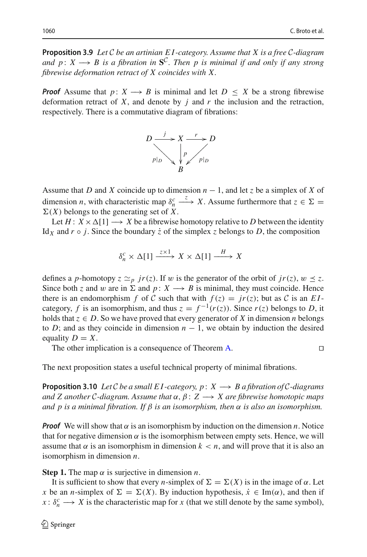**Proposition 3.9** *Let C be an artinian E I -category. Assume that X is a free C-diagram and p* : *X*  $\rightarrow$  *B is a fibration in*  $S^C$ *. Then p is minimal if and only if any strong fibrewise deformation retract of X coincides with X.*

*Proof* Assume that  $p: X \longrightarrow B$  is minimal and let  $D \leq X$  be a strong fibrewise deformation retract of *X*, and denote by *j* and *r* the inclusion and the retraction, respectively. There is a commutative diagram of fibrations:



Assume that *D* and *X* coincide up to dimension  $n - 1$ , and let *z* be a simplex of *X* of dimension *n*, with characteristic map  $\delta_n^c \xrightarrow{z} X$ . Assume furthermore that  $z \in \Sigma$  $\Sigma(X)$  belongs to the generating set of X.

Let  $H: X \times \Delta[1] \longrightarrow X$  be a fibrewise homotopy relative to *D* between the identity Id<sub>X</sub> and  $r \circ j$ . Since the boundary  $\dot{z}$  of the simplex  $z$  belongs to D, the composition

$$
\delta_n^c \times \Delta[1] \xrightarrow{z \times 1} X \times \Delta[1] \xrightarrow{H} X
$$

defines a *p*-homotopy  $z \simeq_p jr(z)$ . If w is the generator of the orbit of  $jr(z)$ ,  $w \preceq z$ . Since both *z* and w are in  $\Sigma$  and  $p: X \longrightarrow B$  is minimal, they must coincide. Hence there is an endomorphism *f* of *C* such that with  $f(z) = jr(z)$ ; but as *C* is an *EI*category, *f* is an isomorphism, and thus  $z = f^{-1}(r(z))$ . Since  $r(z)$  belongs to *D*, it holds that  $z \in D$ . So we have proved that every generator of X in dimension *n* belongs to *D*; and as they coincide in dimension  $n - 1$ , we obtain by induction the desired equality  $D = X$ .

The other implication is a consequence of Theorem [A.](#page-1-0) 

$$
\Box
$$

<span id="page-17-0"></span>The next proposition states a useful technical property of minimal fibrations.

**Proposition 3.10** *Let C be a small E1*-category,  $p: X \rightarrow B$  *a fibration of C*-diagrams *and Z another C-diagram. Assume that* α, β : *Z* −→ *X are fibrewise homotopic maps and p is a minimal fibration. If* β *is an isomorphism, then* α *is also an isomorphism.*

*Proof* We will show that  $\alpha$  is an isomorphism by induction on the dimension *n*. Notice that for negative dimension  $\alpha$  is the isomorphism between empty sets. Hence, we will assume that  $\alpha$  is an isomorphism in dimension  $k \leq n$ , and will prove that it is also an isomorphism in dimension *n*.

**Step 1.** The map  $\alpha$  is surjective in dimension *n*.

It is sufficient to show that every *n*-simplex of  $\Sigma = \Sigma(X)$  is in the image of  $\alpha$ . Let *x* be an *n*-simplex of  $\Sigma = \Sigma(X)$ . By induction hypothesis,  $\dot{x} \in \text{Im}(\alpha)$ , and then if  $x: \delta_n^c \longrightarrow X$  is the characteristic map for *x* (that we still denote by the same symbol),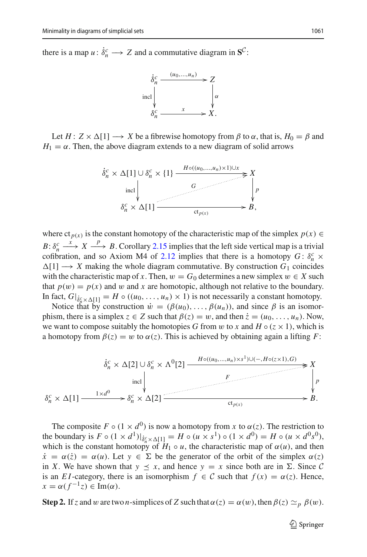there is a map  $u: \delta_n^c \longrightarrow Z$  and a commutative diagram in  $\mathbf{S}^C$ :



Let  $H: Z \times \Delta[1] \longrightarrow X$  be a fibrewise homotopy from  $\beta$  to  $\alpha$ , that is,  $H_0 = \beta$  and  $H_1 = \alpha$ . Then, the above diagram extends to a new diagram of solid arrows



where  $ct_{p(x)}$  is the constant homotopy of the characteristic map of the simplex  $p(x) \in$ *B*:  $\delta_n^c$   $\longrightarrow$  *X*  $\longrightarrow$  *P*  $\longrightarrow$  *B*. Corollary [2.15](#page-11-1) implies that the left side vertical map is a trivial cofibration, and so Axiom M4 of [2.12](#page-10-0) implies that there is a homotopy  $G: \delta_n^c \times$  $\Delta[1] \longrightarrow X$  making the whole diagram commutative. By construction  $G_1$  coincides with the characteristic map of *x*. Then,  $w = G_0$  determines a new simplex  $w \in X$  such that  $p(w) = p(x)$  and w and x are homotopic, although not relative to the boundary. In fact,  $G|_{\delta_n^c \times \Delta[1]} = H \circ ((u_0, \ldots, u_n) \times 1)$  is not necessarily a constant homotopy.

Notice that by construction  $\dot{w} = (\beta(u_0), \dots, \beta(u_n))$ , and since  $\beta$  is an isomorphism, there is a simplex  $z \in Z$  such that  $\beta(z) = w$ , and then  $\dot{z} = (u_0, \ldots, u_n)$ . Now, we want to compose suitably the homotopies *G* from w to *x* and  $H \circ (z \times 1)$ , which is a homotopy from  $\beta(z) = w$  to  $\alpha(z)$ . This is achieved by obtaining again a lifting *F*:



The composite  $F \circ (1 \times d^0)$  is now a homotopy from *x* to  $\alpha(z)$ . The restriction to the boundary is  $F \circ (1 \times d^1)|_{\delta_n^c \times \Delta[1]} = H \circ (u \times s^1) \circ (1 \times d^0) = H \circ (u \times d^0 s^0),$ which is the constant homotopy of  $H_1 \circ u$ , the characteristic map of  $\alpha(u)$ , and then  $\dot{x} = \alpha(\dot{z}) = \alpha(u)$ . Let  $y \in \Sigma$  be the generator of the orbit of the simplex  $\alpha(z)$ in *X*. We have shown that  $y \leq x$ , and hence  $y = x$  since both are in  $\Sigma$ . Since C is an *EI*-category, there is an isomorphism  $f \in C$  such that  $f(x) = \alpha(z)$ . Hence,  $x = \alpha(f^{-1}z) \in \text{Im}(\alpha).$ 

**Step 2.** If *z* and *w* are two *n*-simplices of *Z* such that  $\alpha(z) = \alpha(w)$ , then  $\beta(z) \simeq_{p} \beta(w)$ .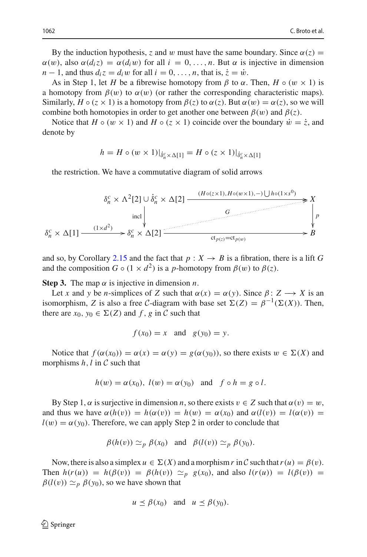By the induction hypothesis, *z* and w must have the same boundary. Since  $\alpha(z)$  =  $\alpha(w)$ , also  $\alpha(d_i z) = \alpha(d_i w)$  for all  $i = 0, \ldots, n$ . But  $\alpha$  is injective in dimension  $n-1$ , and thus  $d_i z = d_i w$  for all  $i = 0, \ldots, n$ , that is,  $\dot{z} = \dot{w}$ .

As in Step 1, let *H* be a fibrewise homotopy from  $\beta$  to  $\alpha$ . Then,  $H \circ (w \times 1)$  is a homotopy from  $\beta(w)$  to  $\alpha(w)$  (or rather the corresponding characteristic maps). Similarly,  $H \circ (z \times 1)$  is a homotopy from  $\beta(z)$  to  $\alpha(z)$ . But  $\alpha(w) = \alpha(z)$ , so we will combine both homotopies in order to get another one between  $\beta(w)$  and  $\beta(z)$ .

Notice that *H* ◦ ( $w \times 1$ ) and *H* ◦ ( $z \times 1$ ) coincide over the boundary  $\dot{w} = \dot{z}$ , and denote by

$$
h = H \circ (w \times 1)|_{\dot{\delta}_n^c \times \Delta[1]} = H \circ (z \times 1)|_{\dot{\delta}_n^c \times \Delta[1]}
$$

the restriction. We have a commutative diagram of solid arrows

$$
\delta_n^c \times \Lambda^2[2] \cup \dot{\delta}_n^c \times \Delta[2] \xrightarrow{\qquad (H \circ (z \times 1), H \circ (w \times 1), -) \cup h \circ (1 \times s^0)} \n\begin{array}{c}\nX \\
\downarrow \\
\downarrow \\
\delta_n^c \times \Delta[1] \xrightarrow{\qquad (1 \times d^2)} \n\delta_n^c \times \Delta[2] \xrightarrow{\qquad \qquad \text{ct}_{p(z)} = ct_{p(w)}} \n\end{array}
$$

and so, by Corollary [2.15](#page-11-1) and the fact that  $p : X \to B$  is a fibration, there is a lift G and the composition  $G \circ (1 \times d^2)$  is a *p*-homotopy from  $\beta(w)$  to  $\beta(z)$ .

**Step 3.** The map  $\alpha$  is injective in dimension *n*.

Let *x* and *y* be *n*-simplices of *Z* such that  $\alpha(x) = \alpha(y)$ . Since  $\beta: Z \rightarrow X$  is an isomorphism, *Z* is also a free *C*-diagram with base set  $\Sigma(Z) = \beta^{-1}(\Sigma(X))$ . Then, there are  $x_0, y_0 \in \Sigma(Z)$  and f, g in C such that

$$
f(x_0) = x \quad \text{and} \quad g(y_0) = y.
$$

Notice that  $f(\alpha(x_0)) = \alpha(x) = \alpha(y) = g(\alpha(y_0))$ , so there exists  $w \in \Sigma(X)$  and morphisms *h*,*l* in *C* such that

$$
h(w) = \alpha(x_0), l(w) = \alpha(y_0)
$$
 and  $f \circ h = g \circ l$ .

By Step 1,  $\alpha$  is surjective in dimension *n*, so there exists  $v \in Z$  such that  $\alpha(v) = w$ , and thus we have  $\alpha(h(v)) = h(\alpha(v)) = h(w) = \alpha(x_0)$  and  $\alpha(l(v)) = l(\alpha(v)) =$  $l(w) = \alpha(y_0)$ . Therefore, we can apply Step 2 in order to conclude that

$$
\beta(h(v)) \simeq_p \beta(x_0)
$$
 and  $\beta(l(v)) \simeq_p \beta(y_0)$ .

Now, there is also a simplex  $u \in \Sigma(X)$  and a morphism r in C such that  $r(u) = \beta(v)$ . Then  $h(r(u)) = h(\beta(v)) = \beta(h(v)) \simeq_p g(x_0)$ , and also  $l(r(u)) = l(\beta(v)) =$  $\beta(l(v)) \simeq_p \beta(y_0)$ , so we have shown that

$$
u \preceq \beta(x_0)
$$
 and  $u \preceq \beta(y_0)$ .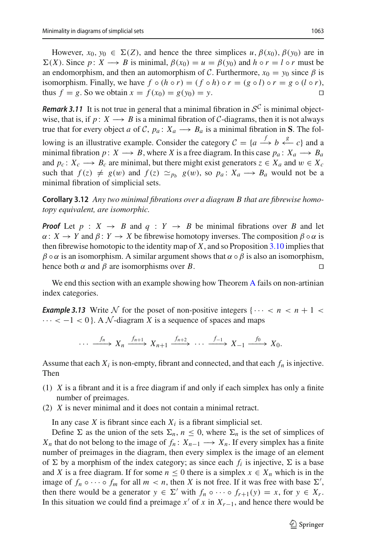However,  $x_0, y_0 \in \Sigma(Z)$ , and hence the three simplices  $u, \beta(x_0), \beta(y_0)$  are in  $\Sigma(X)$ . Since  $p: X \longrightarrow B$  is minimal,  $\beta(x_0) = u = \beta(y_0)$  and  $h \circ r = l \circ r$  must be an endomorphism, and then an automorphism of *C*. Furthermore,  $x_0 = y_0$  since  $\beta$  is isomorphism. Finally, we have  $f \circ (h \circ r) = (f \circ h) \circ r = (g \circ l) \circ r = g \circ (l \circ r)$ , thus  $f = g$ . So we obtain  $x = f(x_0) = g(y_0) = y$ . thus  $f = g$ . So we obtain  $x = f(x_0) = g(y_0) = y$ .

*Remark 3.11* It is not true in general that a minimal fibration in  $S^C$  is minimal objectwise, that is, if  $p: X \longrightarrow B$  is a minimal fibration of *C*-diagrams, then it is not always true that for every object *a* of *C*,  $p_a: X_a \rightarrow B_a$  is a minimal fibration in **S**. The following is an illustrative example. Consider the category  $C = \{a \stackrel{f}{\longrightarrow} b \stackrel{g}{\longleftarrow} c\}$  and a minimal fibration *p* : *X* → *B*, where *X* is a free diagram. In this case  $p_a: X_a \rightarrow B_a$ and  $p_c$ :  $X_c \longrightarrow B_c$  are minimal, but there might exist generators  $z \in X_a$  and  $w \in X_c$ such that  $f(z) \neq g(w)$  and  $f(z) \simeq_{p_b} g(w)$ , so  $p_a: X_a \longrightarrow B_a$  would not be a minimal fibration of simplicial sets.

<span id="page-20-1"></span>**Corollary 3.12** *Any two minimal fibrations over a diagram B that are fibrewise homotopy equivalent, are isomorphic.*

*Proof* Let  $p : X \rightarrow B$  and  $q : Y \rightarrow B$  be minimal fibrations over *B* and let  $\alpha: X \to Y$  and  $\beta: Y \to X$  be fibrewise homotopy inverses. The composition  $\beta \circ \alpha$  is then fibrewise homotopic to the identity map of *X*, and so Proposition [3.10](#page-17-0) implies that  $\beta \circ \alpha$  is an isomorphism. A similar argument shows that  $\alpha \circ \beta$  is also an isomorphism, hence both  $\alpha$  and  $\beta$  are isomorphisms over *B*.

<span id="page-20-0"></span>We end this section with an example showing how Theorem [A](#page-1-0) fails on non-artinian index categories.

*Example 3.13* Write  $N$  for the poset of non-positive integers { $\cdots < n < n + 1 <$  $\cdots < -1 < 0$ . A N-diagram X is a sequence of spaces and maps

$$
\cdots \xrightarrow{f_n} X_n \xrightarrow{f_{n+1}} X_{n+1} \xrightarrow{f_{n+2}} \cdots \xrightarrow{f_{-1}} X_{-1} \xrightarrow{f_0} X_0.
$$

Assume that each  $X_i$  is non-empty, fibrant and connected, and that each  $f_n$  is injective. Then

- (1) *X* is a fibrant and it is a free diagram if and only if each simplex has only a finite number of preimages.
- (2) *X* is never minimal and it does not contain a minimal retract.

In any case *X* is fibrant since each  $X_i$  is a fibrant simplicial set.

Define  $\Sigma$  as the union of the sets  $\Sigma_n$ ,  $n \leq 0$ , where  $\Sigma_n$  is the set of simplices of *X<sub>n</sub>* that do not belong to the image of  $f_n: X_{n-1} \longrightarrow X_n$ . If every simplex has a finite number of preimages in the diagram, then every simplex is the image of an element of  $\Sigma$  by a morphism of the index category; as since each  $f_i$  is injective,  $\Sigma$  is a base and *X* is a free diagram. If for some  $n \leq 0$  there is a simplex  $x \in X_n$  which is in the image of  $f_n \circ \cdots \circ f_m$  for all  $m < n$ , then *X* is not free. If it was free with base  $\Sigma'$ , then there would be a generator  $y \in \Sigma'$  with  $f_n \circ \cdots \circ f_{r+1}(y) = x$ , for  $y \in X_r$ . In this situation we could find a preimage  $x'$  of  $x$  in  $X_{r-1}$ , and hence there would be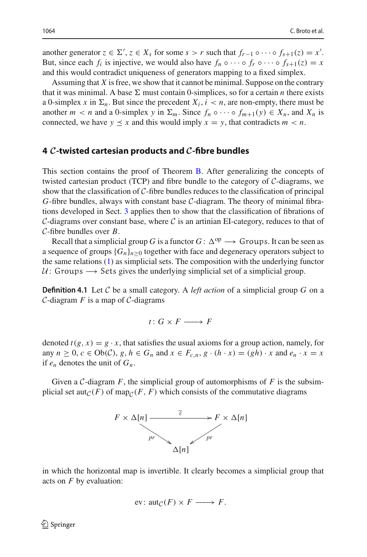another generator  $z \in \Sigma'$ ,  $z \in X_s$  for some  $s > r$  such that  $f_{r-1} \circ \cdots \circ f_{s+1}(z) = x'$ . But, since each  $f_i$  is injective, we would also have  $f_n \circ \cdots \circ f_r \circ \cdots \circ f_{s+1}(z) = x$ and this would contradict uniqueness of generators mapping to a fixed simplex.

Assuming that *X* is free, we show that it cannot be minimal. Suppose on the contrary that it was minimal. A base  $\Sigma$  must contain 0-simplices, so for a certain *n* there exists a 0-simplex x in  $\Sigma_n$ . But since the precedent  $X_i$ ,  $i < n$ , are non-empty, there must be another  $m < n$  and a 0-simplex *y* in  $\Sigma_m$ . Since  $f_n \circ \cdots \circ f_{m+1}(y) \in X_n$ , and  $X_n$  is connected, we have  $y \leq x$  and this would imply  $x = y$ , that contradicts  $m < n$ .

# <span id="page-21-0"></span>**4** *C***-twisted cartesian products and** *C***-fibre bundles**

This section contains the proof of Theorem [B.](#page-1-1) After generalizing the concepts of twisted cartesian product (TCP) and fibre bundle to the category of *C*-diagrams, we show that the classification of *C*-fibre bundles reduces to the classification of principal *G*-fibre bundles, always with constant base *C*-diagram. The theory of minimal fibrations developed in Sect. [3](#page-11-0) applies then to show that the classification of fibrations of  $C$ -diagrams over constant base, where  $C$  is an artinian EI-category, reduces to that of *C*-fibre bundles over *B*.

Recall that a simplicial group *G* is a functor  $G: \Delta^{op} \longrightarrow$  Groups. It can be seen as a sequence of groups  ${G_n}_{n>0}$  together with face and degeneracy operators subject to the same relations [\(1\)](#page-3-1) as simplicial sets. The composition with the underlying functor  $U:$  Groups  $\rightarrow$  Sets gives the underlying simplicial set of a simplicial group.

**Definition 4.1** Let C be a small category. A *left action* of a simplicial group G on a *C*-diagram *F* is a map of *C*-diagrams

$$
t\colon G\times F\longrightarrow F
$$

denoted  $t(g, x) = g \cdot x$ , that satisfies the usual axioms for a group action, namely, for any  $n \geq 0$ ,  $c \in Ob(\mathcal{C})$ ,  $g, h \in G_n$  and  $x \in F_{c,n}, g \cdot (h \cdot x) = (gh) \cdot x$  and  $e_n \cdot x = x$ if  $e_n$  denotes the unit of  $G_n$ .

Given a *C*-diagram *F*, the simplicial group of automorphisms of *F* is the subsimplicial set aut<sub>*C*</sub>(*F*) of map<sub>*C*</sub>(*F*, *F*) which consists of the commutative diagrams



in which the horizontal map is invertible. It clearly becomes a simplicial group that acts on *F* by evaluation:

$$
ev: \operatorname{aut}_{\mathcal{C}}(F) \times F \longrightarrow F.
$$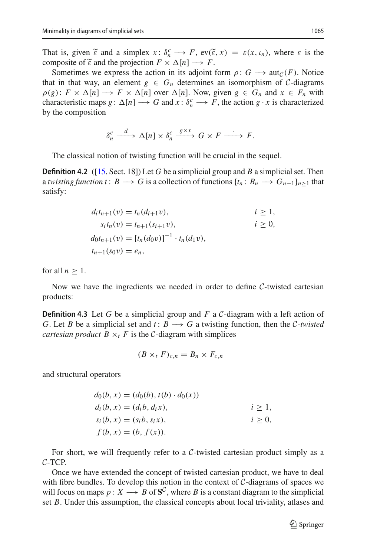Minimality in diagrams of simplicial sets 1065<br>
That is, given  $\widetilde{\epsilon}$  and a simplex  $x: \delta_n^c \longrightarrow F$ ,  $ev(\widetilde{\epsilon}, x) = \varepsilon(x, \iota_n)$ , where  $\varepsilon$  is the Minimality in diagra<br>
That is, given<br>
composite of  $\widetilde{\epsilon}$ composite of  $\tilde{\epsilon}$  and the projection  $F \times \Delta[n] \longrightarrow F$ .

Sometimes we express the action in its adjoint form  $\rho: G \longrightarrow \text{aut}_{\mathcal{C}}(F)$ . Notice that in that way, an element  $g \in G_n$  determines an isomorphism of *C*-diagrams  $\rho(g): F \times \Delta[n] \longrightarrow F \times \Delta[n]$  over  $\Delta[n]$ . Now, given  $g \in G_n$  and  $x \in F_n$  with characteristic maps *g* :  $\Delta[n] \longrightarrow G$  and  $x : \delta_n^c \longrightarrow F$ , the action  $g \cdot x$  is characterized by the composition

$$
\delta_n^c \xrightarrow{d} \Delta[n] \times \delta_n^c \xrightarrow{g \times x} G \times F \xrightarrow{f} F.
$$

The classical notion of twisting function will be crucial in the sequel.

**Definition 4.2** ([\[15](#page-39-9), Sect. 18]) Let *G* be a simplicial group and *B* a simplicial set. Then a *twisting function t* :  $B \to G$  is a collection of functions  $\{t_n : B_n \to G_{n-1}\}_{n>1}$  that satisfy:

$$
d_i t_{n+1}(v) = t_n(d_{i+1}v), \t i \ge 1,s_i t_n(v) = t_{n+1}(s_{i+1}v), \t i \ge 0,d_0 t_{n+1}(v) = [t_n(d_0v)]^{-1} \cdot t_n(d_1v),t_{n+1}(s_0v) = e_n,
$$

for all  $n \geq 1$ .

Now we have the ingredients we needed in order to define *C*-twisted cartesian products:

**Definition 4.3** Let *G* be a simplicial group and *F* a *C*-diagram with a left action of *G*. Let *B* be a simplicial set and  $t: B \rightarrow G$  a twisting function, then the *C-twisted cartesian product*  $B \times_t F$  is the *C*-diagram with simplices

$$
(B \times_t F)_{c,n} = B_n \times F_{c,n}
$$

and structural operators

$$
d_0(b, x) = (d_0(b), t(b) \cdot d_0(x))
$$
  
\n
$$
d_i(b, x) = (d_i b, d_i x), \qquad i \ge 1,
$$
  
\n
$$
s_i(b, x) = (s_i b, s_i x), \qquad i \ge 0,
$$
  
\n
$$
f(b, x) = (b, f(x)).
$$

For short, we will frequently refer to a *C*-twisted cartesian product simply as a *C*-TCP.

Once we have extended the concept of twisted cartesian product, we have to deal with fibre bundles. To develop this notion in the context of *C*-diagrams of spaces we will focus on maps  $p: X \longrightarrow B$  of  $S^C$ , where *B* is a constant diagram to the simplicial set *B*. Under this assumption, the classical concepts about local triviality, atlases and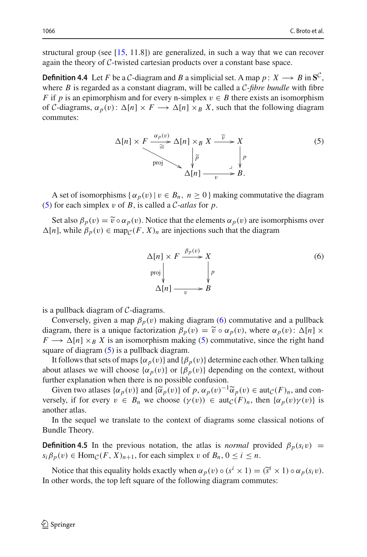structural group (see  $[15, 11.8]$  $[15, 11.8]$ ) are generalized, in such a way that we can recover again the theory of *C*-twisted cartesian products over a constant base space.

**Definition 4.4** Let *F* be a *C*-diagram and *B* a simplicial set. A map  $p: X \rightarrow B$  in  $S^C$ , where *B* is regarded as a constant diagram, will be called a *C-fibre bundle* with fibre *F* if *p* is an epimorphism and for every n-simplex  $v \in B$  there exists an isomorphism of *C*-diagrams,  $\alpha_p(v)$ :  $\Delta[n] \times F \longrightarrow \Delta[n] \times_B X$ , such that the following diagram commutes:

<span id="page-23-0"></span>
$$
\Delta[n] \times F \xrightarrow{\alpha_p(v)} \Delta[n] \times_B X \xrightarrow{\tilde{v}} X
$$
\n
$$
\downarrow \tilde{p}
$$
\n
$$
\Delta[n] \xrightarrow[\text{proj}]{\tilde{p}} \qquad \downarrow \tilde{p}
$$
\n
$$
\Delta[n] \xrightarrow[\text{proj}]{\tilde{p}} B.
$$
\n(5)

A set of isomorphisms { $\alpha_p(v) | v \in B_n$ ,  $n \ge 0$ } making commutative the diagram [\(5\)](#page-23-0) for each simplex v of *B*, is called a *C-atlas* for *p*. A set of isomorphisms { $\alpha_p(v) | v \in B_n$ ,  $n \ge 0$ } making commutative the diagram<br>for each simplex v of *B*, is called a *C*-atlas for *p*.<br>Set also  $\beta_p(v) = \tilde{v} \circ \alpha_p(v)$ . Notice that the elements  $\alpha_p(v)$  are isomorphisms ove

 $\Delta[n]$ , while  $\beta_p(v) \in \text{map}_{\mathcal{C}}(F, X)_n$  are injections such that the diagram

<span id="page-23-1"></span>
$$
\Delta[n] \times F \xrightarrow{\beta_p(v)} X
$$
  
proj  

$$
\Delta[n] \xrightarrow{p} B
$$
  
(6)

is a pullback diagram of *C*-diagrams.

Conversely, given a map  $\beta_p(v)$  making diagram [\(6\)](#page-23-1) commutative and a pullback is a pullback diagram of *C*-diagrams.<br>Conversely, given a map  $\beta_p(v)$  making diagram (6) commutative and a pullback<br>diagram, there is a unique factorization  $\beta_p(v) = \tilde{v} \circ \alpha_p(v)$ , where  $\alpha_p(v)$ :  $\Delta[n] \times$  $F \longrightarrow \Delta[n] \times_B X$  is an isomorphism making [\(5\)](#page-23-0) commutative, since the right hand square of diagram  $(5)$  is a pullback diagram.

It follows that sets of maps  $\{\alpha_p(v)\}$  and  $\{\beta_p(v)\}$  determine each other. When talking about atlases we will choose  $\{\alpha_p(v)\}$  or  $\{\beta_p(v)\}$  depending on the context, without further explanation when there is no possible confusion. It follows that sets of maps  $\{\alpha_p(v)\}$  and  $\{\beta_p(v)\}$  determine each other. When talking out atlases we will choose  $\{\alpha_p(v)\}$  or  $\{\beta_p(v)\}$  depending on the context, without ther explanation when there is no possible confus

versely, if for every  $v \in B_n$  we choose  $(\gamma(v)) \in \text{aut}_{\mathcal{C}}(F)_n$ , then  $\{\alpha_p(v)\gamma(v)\}$  is another atlas.

In the sequel we translate to the context of diagrams some classical notions of Bundle Theory.

**Definition 4.5** In the previous notation, the atlas is *normal* provided  $\beta_p(s_i v)$  =  $s_i \beta_p(v) \in \text{Hom}_{\mathcal{C}}(F, X)_{n+1}$ , for each simplex v of  $B_n, 0 \le i \le n$ . **finition 4.5** In the previous notation, the atlas is *normal* provided  $\beta_p(s_i v) = \beta_p(v) \in \text{Hom}_{\mathcal{C}}(F, X)_{n+1}$ , for each simplex v of  $B_n$ ,  $0 \le i \le n$ .<br>Notice that this equality holds exactly when  $\alpha_p(v) \circ (s^i \times 1) = (\tilde{s}^i$ 

In other words, the top left square of the following diagram commutes: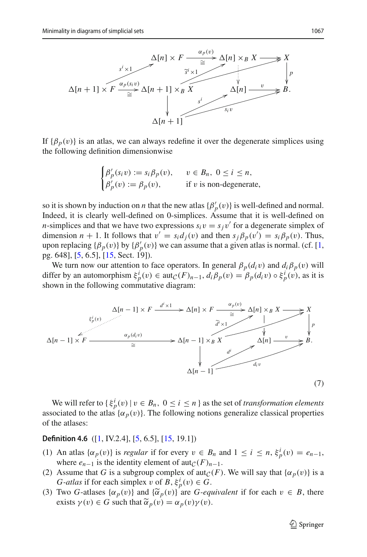

If  $\{\beta_p(v)\}\$ is an atlas, we can always redefine it over the degenerate simplices using the following definition dimensionwise

$$
\begin{cases}\n\beta'_p(s_i v) := s_i \beta_p(v), & v \in B_n, \ 0 \le i \le n, \\
\beta'_p(v) := \beta_p(v), & \text{if } v \text{ is non-degenerate,} \n\end{cases}
$$

so it is shown by induction on *n* that the new atlas  $\{\beta'_p(v)\}$  is well-defined and normal. Indeed, it is clearly well-defined on 0-simplices. Assume that it is well-defined on *n*-simplices and that we have two expressions  $s_i v = s_j v'$  for a degenerate simplex of dimension *n* + 1. It follows that  $v' = s_i d_j(v)$  and then  $s_j \beta_p(v') = s_i \beta_p(v)$ . Thus, upon replacing  $\{\beta_p(v)\}\$  by  $\{\beta'_p(v)\}\$  we can assume that a given atlas is normal. (cf. [\[1,](#page-39-0) pg. 648], [\[5](#page-39-7), 6.5], [\[15](#page-39-9), Sect. 19]).

We turn now our attention to face operators. In general  $\beta_p(d_i v)$  and  $d_i \beta_p(v)$  will differ by an automorphism  $\xi_p^i(v) \in \text{aut}_{\mathcal{C}}(F)_{n-1}$ ,  $d_i \beta_p(v) = \beta_p(d_i v) \circ \xi_p^i(v)$ , as it is shown in the following commutative diagram:



We will refer to  $\{\xi_p^i(v) | v \in B_n, 0 \le i \le n\}$  as the set of *transformation elements* associated to the atlas  $\{\alpha_p(v)\}\)$ . The following notions generalize classical properties of the atlases:

#### **Definition 4.6** ([\[1](#page-39-0), IV.2.4], [\[5](#page-39-7), 6.5], [\[15](#page-39-9), 19.1])

- (1) An atlas  $\{\alpha_p(v)\}\$ is *regular* if for every  $v \in B_n$  and  $1 \le i \le n$ ,  $\xi_p^i(v) = e_{n-1}$ , where  $e_{n-1}$  is the identity element of aut $_{\mathcal{C}}(F)_{n-1}$ .
- (2) Assume that *G* is a subgroup complex of aut<sub>*C*</sub>(*F*). We will say that  $\{\alpha_p(v)\}$  is a *G*-*atlas* if for each simplex  $v$  of  $B$ ,  $\xi_p^i(v) \in G$ . where  $e_{n-1}$  is the identity elem<br>(2) Assume that *G* is a subgroup c<br>*G*-atlas if for each simplex *v* or<br>(3) Two *G*-atlases  $\{\alpha_p(v)\}\$  and  $\{\widetilde{\alpha}\}$ Assume that *G* is a subgrou<br>*G*-*atlas* if for each simplex<br>Two *G*-atlases  $\{\alpha_p(v)\}$  and<br>exists  $\gamma(v) \in G$  such that  $\widetilde{\alpha}$
- (3) Two *G*-atlases  $\{\alpha_p(v)\}\$ and  $\{\tilde{\alpha}_p(v)\}$  are *G-equivalent* if for each  $v \in B$ , there exists  $\gamma(v) \in G$  such that  $\tilde{\alpha}_p(v) = \alpha_p(v)\gamma(v)$ .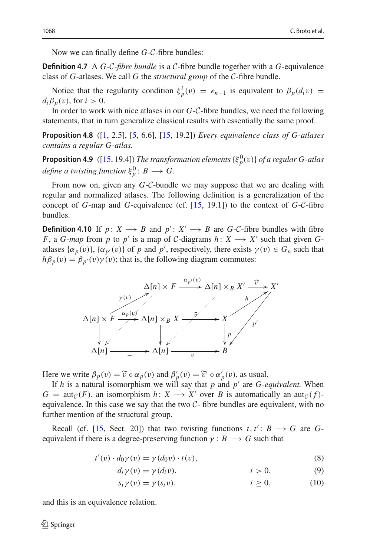Now we can finally define *G*-*C*-fibre bundles:

**Definition 4.7** A *G*-*C-fibre bundle* is a *C*-fibre bundle together with a *G*-equivalence class of *G*-atlases. We call *G* the *structural group* of the *C*-fibre bundle.

Notice that the regularity condition  $\xi_p^i(v) = e_{n-1}$  is equivalent to  $\beta_p(d_i v) =$  $d_i \beta_p(v)$ , for  $i > 0$ .

In order to work with nice atlases in our *G*-*C*-fibre bundles, we need the following statements, that in turn generalize classical results with essentially the same proof.

**Proposition 4.8** ([\[1,](#page-39-0) 2.5], [\[5,](#page-39-7) 6.6], [\[15](#page-39-9), 19.2]) *Every equivalence class of G-atlases contains a regular G-atlas.*

<span id="page-25-3"></span>**Proposition 4.9** ([\[15,](#page-39-9) 19.4]) *The transformation elements*  $\{\xi_p^0(v)\}$  *of a regular G-atlas*  $define\ a\ twisting\ function\ \xi_p^0\colon B\longrightarrow G.$ 

From now on, given any *G*-*C*-bundle we may suppose that we are dealing with regular and normalized atlases. The following definition is a generalization of the concept of *G*-map and *G*-equivalence (cf. [\[15,](#page-39-9) 19.1]) to the context of *G*-*C*-fibre bundles.

**Definition 4.10** If *p* :  $X \rightarrow B$  and  $p'$  :  $X' \rightarrow B$  are *G*-*C*-fibre bundles with fibre *F*, a *G*-*map* from *p* to *p'* is a map of *C*-diagrams  $h: X \rightarrow X'$  such that given *G*atlases  $\{\alpha_p(v)\}\$ ,  $\{\alpha_{p'}(v)\}$  of *p* and *p'*, respectively, there exists  $\gamma(v) \in G_n$  such that



If *h* is a natural isomorphism we will say that *p* and  $p'$  are *G*-equivalent. When  $G = \text{aut}_{\mathcal{C}}(F)$ , an isomorphism  $h: X \longrightarrow X'$  over *B* is automatically an aut $_{\mathcal{C}}(f)$ equivalence. In this case we say that the two *C*- fibre bundles are equivalent, with no further mention of the structural group.

Recall (cf. [\[15](#page-39-9), Sect. 20]) that two twisting functions  $t, t' : B \longrightarrow G$  are *G*equivalent if there is a degree-preserving function  $\gamma : B \longrightarrow G$  such that

$$
t'(v) \cdot d_0 \gamma(v) = \gamma(d_0 v) \cdot t(v), \qquad (8)
$$

$$
d_i \gamma(v) = \gamma(d_i v), \qquad i > 0,
$$
\n(9)

<span id="page-25-2"></span><span id="page-25-1"></span><span id="page-25-0"></span>
$$
s_i \gamma(v) = \gamma(s_i v), \qquad i \ge 0,
$$
 (10)

<span id="page-25-4"></span>and this is an equivalence relation.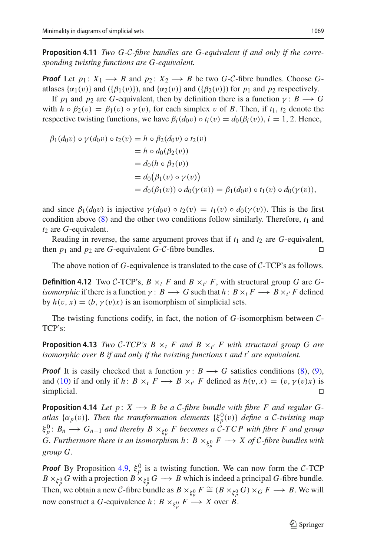**Proposition 4.11** *Two G-C-fibre bundles are G-equivalent if and only if the corresponding twisting functions are G-equivalent.*

*Proof* Let  $p_1: X_1 \longrightarrow B$  and  $p_2: X_2 \longrightarrow B$  be two *G*-*C*-fibre bundles. Choose *G*atlases  $\{\alpha_1(v)\}$  and  $\{\beta_1(v)\}$ , and  $\{\alpha_2(v)\}$  and  $\{\beta_2(v)\}$  for  $p_1$  and  $p_2$  respectively.

If *p*<sub>1</sub> and *p*<sub>2</sub> are *G*-equivalent, then by definition there is a function  $\gamma : B \longrightarrow G$ with  $h \circ \beta_2(v) = \beta_1(v) \circ \gamma(v)$ , for each simplex v of *B*. Then, if  $t_1, t_2$  denote the respective twisting functions, we have  $\beta_i(d_0v) \circ t_i(v) = d_0(\beta_i(v)), i = 1, 2$ . Hence,

$$
\beta_1(d_0v) \circ \gamma(d_0v) \circ t_2(v) = h \circ \beta_2(d_0v) \circ t_2(v)
$$
  
=  $h \circ d_0(\beta_2(v))$   
=  $d_0(h \circ \beta_2(v))$   
=  $d_0(\beta_1(v) \circ \gamma(v))$   
=  $d_0(\beta_1(v)) \circ d_0(\gamma(v)) = \beta_1(d_0v) \circ t_1(v) \circ d_0(\gamma(v)),$ 

and since  $\beta_1(d_0v)$  is injective  $\gamma(d_0v) \circ t_2(v) = t_1(v) \circ d_0(\gamma(v))$ . This is the first condition above  $(8)$  and the other two conditions follow similarly. Therefore,  $t_1$  and *t*<sub>2</sub> are *G*-equivalent.

Reading in reverse, the same argument proves that if  $t_1$  and  $t_2$  are  $G$ -equivalent, then  $p_1$  and  $p_2$  are *G*-equivalent *G-C-fibre bundles.* 

The above notion of *G*-equivalence is translated to the case of *C*-TCP's as follows.

**Definition 4.12** Two *C*-TCP's,  $B \times_t F$  and  $B \times_{t'} F$ , with structural group *G* are *Gisomorphic* if there is a function  $\gamma$ :  $B \longrightarrow G$  such that  $h: B \times_t F \longrightarrow B \times_t F$  defined by  $h(v, x) = (b, \gamma(v)x)$  is an isomorphism of simplicial sets.

<span id="page-26-0"></span>The twisting functions codify, in fact, the notion of *G*-isomorphism between *C*-TCP's:

**Proposition 4.13** *Two C-TCP's B*  $\times_t$  *F and B*  $\times_{t'}$  *F with structural group G are isomorphic over B if and only if the twisting functions t and t' are equivalent.* 

*Proof* It is easily checked that a function  $\gamma : B \longrightarrow G$  satisfies conditions [\(8\)](#page-25-0), [\(9\)](#page-25-1), and [\(10\)](#page-25-2) if and only if *h*:  $B \times_t F \longrightarrow B \times_{t'} F$  defined as  $h(v, x) = (v, \gamma(v)x)$  is simplicial.  $\Box$  simplicial.

<span id="page-26-1"></span>**Proposition 4.14** *Let*  $p: X \rightarrow B$  *be a C-fibre bundle with fibre F and regular G* $atlas \ \{\alpha_p(v)\}\$ . Then the transformation elements  $\{\xi_p^0(v)\}\$  define a C-twisting map  $\xi_p^0$ :  $B_n \longrightarrow G_{n-1}$  and thereby  $B \times_{\xi_p^0} F$  becomes a C-TCP with fibre F and group *G. Furthermore there is an isomorphism*  $h: B \times_{\xi_p^0} F \longrightarrow X$  *of <i>C*-fibre bundles with *group G.*

*Proof* By Proposition [4.9,](#page-25-3)  $\xi_p^0$  is a twisting function. We can now form the *C*-TCP  $B \times_{\xi_p^0} G$  with a projection  $B \times_{\xi_p^0} G \longrightarrow B$  which is indeed a principal *G*-fibre bundle. Then, we obtain a new *C*-fibre bundle as  $B \times_{\xi_p^0} F \cong (B \times_{\xi_p^0} G) \times_G F \longrightarrow B$ . We will now construct a *G*-equivalence *h*:  $B \times_{\xi_p^0} F \longrightarrow X$  over *B*.

 $\mathcal{D}$  Springer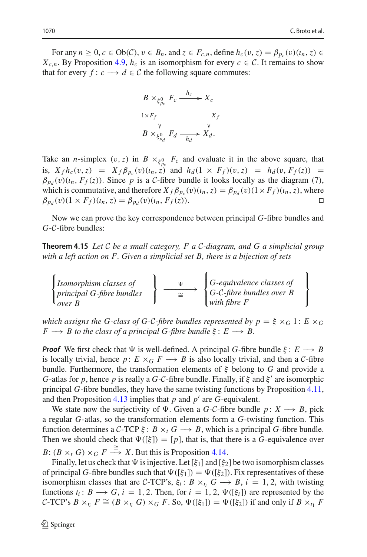For any  $n \geq 0$ ,  $c \in Ob(\mathcal{C})$ ,  $v \in B_n$ , and  $z \in F_{c,n}$ , define  $h_c(v, z) = \beta_{p_c}(v)(u_n, z) \in$  $X_{c,n}$ . By Proposition [4.9,](#page-25-3)  $h_c$  is an isomorphism for every  $c \in \mathcal{C}$ . It remains to show that for every  $f: c \longrightarrow d \in C$  the following square commutes:

$$
B \times_{\xi_{p_c}^0} F_c \xrightarrow{h_c} X_c
$$
  

$$
1 \times F_f \downarrow \qquad \qquad X_f
$$
  

$$
B \times_{\xi_{p_d}^0} F_d \xrightarrow[h_d]{} X_d.
$$

Take an *n*-simplex  $(v, z)$  in  $B \times_{\xi_{p_c}} F_c$  and evaluate it in the above square, that is,  $X_f h_c(v, z) = X_f \beta_{p_c}(v) (i_n, z)$  and  $h_d(1 \times F_f)(v, z) = h_d(v, F_f(z)) =$  $\beta_{p_d}(v)(i_n, F_f(z))$ . Since *p* is a *C*-fibre bundle it looks locally as the diagram (7), which is commutative, and therefore  $X_f \beta_{p_c}(v)(i_n, z) = \beta_{p_d}(v)(1 \times F_f)(i_n, z)$ , where  $\beta_{p_d}(v)(1 \times F_f)(i_n, z) = \beta_{p_d}(v)(i_n, F_f(z)).$ 

<span id="page-27-0"></span>Now we can prove the key correspondence between principal *G*-fibre bundles and *G*-*C*-fibre bundles:

**Theorem 4.15** *Let C be a small category, F a C-diagram, and G a simplicial group* with a left action on F . Given a simplicial set B, there is a bijection of sets  $\overline{\phantom{a}}$ e category, F a C-diagram, and G a simplicial gi

*Isomorphism classes of principal G-fibre bundles over B* −−−−−∼ −−→ <sup>=</sup> *G-equivalence classes of G-C-fibre bundles over B with fibre F*

*which assigns the G-class of G-C-fibre bundles represented by*  $p = \xi \times_G 1$ *:*  $E \times_G$  $F \rightarrow B$  *to the class of a principal G-fibre bundle*  $\xi : E \rightarrow B$ .

*Proof* We first check that  $\Psi$  is well-defined. A principal *G*-fibre bundle  $\xi : E \longrightarrow B$ is locally trivial, hence  $p: E \times_G F \longrightarrow B$  is also locally trivial, and then a *C*-fibre bundle. Furthermore, the transformation elements of ξ belong to *G* and provide a *G*-atlas for *p*, hence *p* is really a *G*-*C*-fibre bundle. Finally, if  $\xi$  and  $\xi'$  are isomorphic principal *G*-fibre bundles, they have the same twisting functions by Proposition [4.11,](#page-25-4) and then Proposition [4.13](#page-26-0) implies that  $p$  and  $p'$  are  $G$ -equivalent.

We state now the surjectivity of  $\Psi$ . Given a *G*-*C*-fibre bundle  $p: X \rightarrow B$ , pick a regular *G*-atlas, so the transformation elements form a *G*-twisting function. This function determines a  $C$ -TCP  $\xi$ :  $B \times_t G \longrightarrow B$ , which is a principal *G*-fibre bundle. Then we should check that  $\Psi([\xi]) = [p]$ , that is, that there is a *G*-equivalence over

*B*:  $(B \times_t G) \times_G F \xrightarrow{\cong} X$ . But this is Proposition [4.14.](#page-26-1)

Finally, let us check that  $\Psi$  is injective. Let  $[\xi_1]$  and  $[\xi_2]$  be two isomorphism classes of principal *G*-fibre bundles such that  $\Psi([\xi_1]) = \Psi([\xi_2])$ . Fix representatives of these isomorphism classes that are *C*-TCP's,  $\xi_i$ :  $B \times_{t_i} G \longrightarrow B$ ,  $i = 1, 2$ , with twisting functions  $t_i: B \longrightarrow G$ ,  $i = 1, 2$ . Then, for  $i = 1, 2, \Psi([\xi_i])$  are represented by the *C*-TCP's  $B \times_{t_i} F \cong (B \times_{t_i} G) \times_G F$ . So,  $\Psi([\xi_1]) = \Psi([\xi_2])$  if and only if  $B \times_{t_i} F$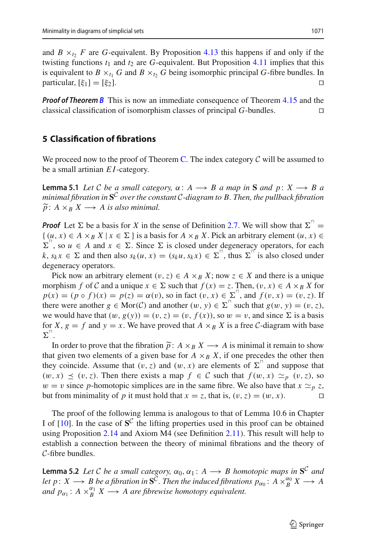and  $B \times_{t_2} F$  are *G*-equivalent. By Proposition [4.13](#page-26-0) this happens if and only if the twisting functions  $t_1$  and  $t_2$  are *G*-equivalent. But Proposition [4.11](#page-25-4) implies that this is equivalent to  $B \times_{t_1} G$  and  $B \times_{t_2} G$  being isomorphic principal *G*-fibre bundles. In particular,  $[\xi_1]=[\xi_2]$ .

*Proof of Theorem [B](#page-1-1)* This is now an immediate consequence of Theorem [4.15](#page-27-0) and the classical classification of isomorphism classes of principal *G*-bundles. 

# <span id="page-28-0"></span>**5 Classification of fibrations**

<span id="page-28-1"></span>We proceed now to the proof of Theorem [C.](#page-2-0) The index category  $C$  will be assumed to be a small artinian *EI*-category.

**Lemma 5.1** *Let*  $C$  *be a small category,*  $\alpha: A \rightarrow B$  *a map in* **S** *and*  $p: X \rightarrow B$  *a minimal fibration in* **S***<sup>C</sup> over the constant C-diagram to B. Then, the pullback fibration*  $\widetilde{p}$ : *A* ×*B X* → *A is also minimal.* 

**Proof** Let  $\Sigma$  be a basis for *X* in the sense of Definition [2.7.](#page-7-0) We will show that  $\Sigma$ <sup>n</sup>  $\{(u, x) \in A \times_B X \mid x \in \Sigma \}$  is a basis for  $A \times_B X$ . Pick an arbitrary element  $(u, x) \in$  $\Sigma^{\perp}$ , so  $u \in A$  and  $x \in \Sigma$ . Since  $\Sigma$  is closed under degeneracy operators, for each  $k, s_k x \in \Sigma$  and then also  $s_k(u, x) = (s_k u, s_k x) \in \Sigma^{\square}$ , thus  $\Sigma^{\square}$  is also closed under degeneracy operators.

Pick now an arbitrary element  $(v, z) \in A \times_B X$ ; now  $z \in X$  and there is a unique morphism *f* of *C* and a unique  $x \in \Sigma$  such that  $f(x) = z$ . Then,  $(v, x) \in A \times_B X$  for  $p(x) = (p \circ f)(x) = p(z) = \alpha(v)$ , so in fact  $(v, x) \in \sum_{n=1}^{\infty}$ , and  $f(v, x) = (v, z)$ . If there were another  $g \in \text{Mor}(\mathcal{C})$  and another  $(w, y) \in \Sigma^{\perp}$  such that  $g(w, y) = (v, z)$ , we would have that  $(w, g(y)) = (v, z) = (v, f(x))$ , so  $w = v$ , and since  $\Sigma$  is a basis<br>for  $X, g = f$  and  $y = x$ . We have proved that  $A \times_B X$  is a free  $C$ -diagram with base<br> $\Sigma^{\top}$ .<br>In order to prove that the fibration  $\tilde{p}: A \times_B X \longrightarrow$ for *X*,  $g = f$  and  $y = x$ . We have proved that  $A \times_B X$  is a free *C*-diagram with base  $\Sigma^{\shortparallel}$ .

In order to prove that the fibration  $\tilde{p}$ :  $A \times_B X \longrightarrow A$  is minimal it remain to show that given two elements of a given base for  $A \times_B X$ , if one precedes the other then they coincide. Assume that  $(v, z)$  and  $(w, x)$  are elements of  $\Sigma^{\perp}$  and suppose that  $(w, x) \preceq (v, z)$ . Then there exists a map  $f \in C$  such that  $f(w, x) \simeq_p (v, z)$ , so  $w = v$  since *p*-homotopic simplices are in the same fibre. We also have that  $x \simeq_p z$ , but from minimality of *p* it must hold that  $x = z$ , that is,  $(v, z) = (w, x)$ .

The proof of the following lemma is analogous to that of Lemma 10.6 in Chapter I of  $[10]$ . In the case of  $S^C$  the lifting properties used in this proof can be obtained using Proposition [2.14](#page-11-2) and Axiom M4 (see Definition [2.11\)](#page-9-0). This result will help to establish a connection between the theory of minimal fibrations and the theory of *C*-fibre bundles.

<span id="page-28-2"></span>**Lemma 5.2** *Let C be a small category,*  $\alpha_0, \alpha_1: A \rightarrow B$  *homotopic maps in*  $S^C$  *and let*  $p: X \longrightarrow B$  *be a fibration in*  $S^{\tilde{C}}$ *. Then the induced fibrations*  $p_{\alpha_0}: A \times_B^{\alpha_0} X \longrightarrow A$ *and*  $p_{\alpha_1}$ :  $A \times_B^{\alpha_1} X \longrightarrow A$  are fibrewise homotopy equivalent.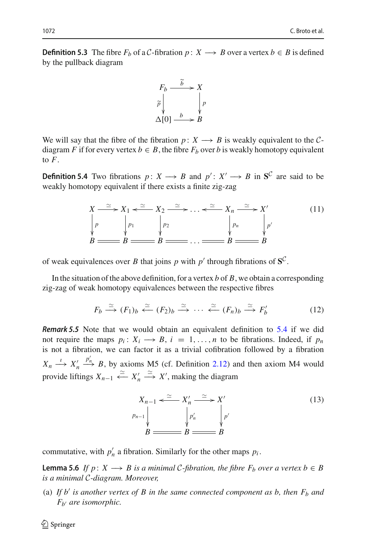**Definition 5.3** The fibre  $F_b$  of a *C*-fibration  $p: X \longrightarrow B$  over a vertex  $b \in B$  is defined by the pullback diagram



We will say that the fibre of the fibration *p* :  $X \rightarrow B$  is weakly equivalent to the *C*diagram *F* if for every vertex  $b \in B$ , the fibre  $F_b$  over *b* is weakly homotopy equivalent to *F*.

<span id="page-29-0"></span>**Definition 5.4** Two fibrations *p* : *X*  $\rightarrow$  *B* and *p* : *X*  $\rightarrow$  *B* in S<sup>*C*</sup> are said to be weakly homotopy equivalent if there exists a finite zig-zag

<span id="page-29-1"></span>
$$
X \xrightarrow{\simeq} X_1 \xleftarrow{\simeq} X_2 \xrightarrow{\simeq} \dots \xleftarrow{\simeq} X_n \xrightarrow{\simeq} X'
$$
\n
$$
\downarrow p
$$
\n
$$
\downarrow p_1
$$
\n
$$
\downarrow p_2
$$
\n
$$
\downarrow p_n
$$
\n
$$
\downarrow p'
$$
\n
$$
\downarrow p'
$$
\n
$$
\downarrow p'
$$
\n
$$
\downarrow p'
$$
\n
$$
\downarrow p'
$$
\n
$$
\downarrow p'
$$
\n
$$
\downarrow p'
$$
\n
$$
\downarrow p'
$$
\n
$$
\downarrow p'
$$
\n
$$
\downarrow p'
$$
\n
$$
\downarrow p'
$$
\n
$$
\downarrow p'
$$
\n
$$
\downarrow p'
$$
\n
$$
\downarrow p'
$$
\n
$$
\downarrow p'
$$
\n
$$
\downarrow p'
$$
\n
$$
\downarrow p'
$$
\n
$$
\downarrow p'
$$
\n
$$
\downarrow p'
$$
\n
$$
\downarrow p'
$$
\n
$$
\downarrow p'
$$
\n
$$
\downarrow p'
$$
\n
$$
\downarrow p'
$$
\n
$$
\downarrow p'
$$
\n
$$
\downarrow p'
$$
\n
$$
\downarrow p'
$$
\n
$$
\downarrow p'
$$
\n
$$
\downarrow p'
$$
\n
$$
\downarrow p'
$$
\n
$$
\downarrow p'
$$
\n
$$
\downarrow p'
$$
\n
$$
\downarrow p'
$$
\n
$$
\downarrow p'
$$
\n
$$
\downarrow p'
$$
\n
$$
\downarrow p'
$$
\n
$$
\downarrow p'
$$
\n
$$
\downarrow p'
$$
\n
$$
\downarrow p'
$$
\n
$$
\downarrow p'
$$
\n
$$
\downarrow p'
$$
\n
$$
\downarrow p'
$$
\n
$$
\downarrow p'
$$
\n
$$
\downarrow p'
$$
\n
$$
\downarrow p'
$$
\n
$$
\downarrow p'
$$
\n
$$
\downarrow p'
$$
\n
$$
\downarrow p'
$$
\n
$$
\downarrow p'
$$
\n
$$
\downarrow p'
$$
\n
$$
\down
$$

of weak equivalences over *B* that joins *p* with  $p'$  through fibrations of  $S^C$ .

In the situation of the above definition, for a vertex *b* of *B*, we obtain a corresponding zig-zag of weak homotopy equivalences between the respective fibres

<span id="page-29-2"></span>
$$
F_b \xrightarrow{\simeq} (F_1)_b \xleftarrow{\simeq} (F_2)_b \xrightarrow{\simeq} \cdots \xleftarrow{\simeq} (F_n)_b \xrightarrow{\simeq} F'_b \tag{12}
$$

*Remark 5.5* Note that we would obtain an equivalent definition to [5.4](#page-29-0) if we did not require the maps  $p_i: X_i \longrightarrow B$ ,  $i = 1, \ldots, n$  to be fibrations. Indeed, if  $p_n$ is not a fibration, we can factor it as a trivial cofibration followed by a fibration  $X_n \xrightarrow{l} X'_n$  $\stackrel{p'_n}{\longrightarrow} B$ , by axioms M5 (cf. Definition [2.12\)](#page-10-0) and then axiom M4 would provide liftings  $X_{n-1} \xrightarrow{\simeq} X'_n \xrightarrow{\simeq} X'$ , making the diagram

$$
X_{n-1} \xleftarrow{\simeq} X'_n \xrightarrow{\simeq} X'
$$
\n
$$
\downarrow p'_n
$$
\n
$$
B \xrightarrow{\qquad \qquad} B \xrightarrow{\simeq} B
$$
\n
$$
(13)
$$

commutative, with  $p'_n$  a fibration. Similarly for the other maps  $p_i$ .

<span id="page-29-3"></span>**Lemma 5.6** *If*  $p: X \rightarrow B$  *is a minimal C-fibration, the fibre*  $F_b$  *over a vertex b*  $\in B$ *is a minimal C-diagram. Moreover,*

(a) If  $b'$  is another vertex of  $B$  in the same connected component as  $b$ , then  $F_b$  and *Fb are isomorphic.*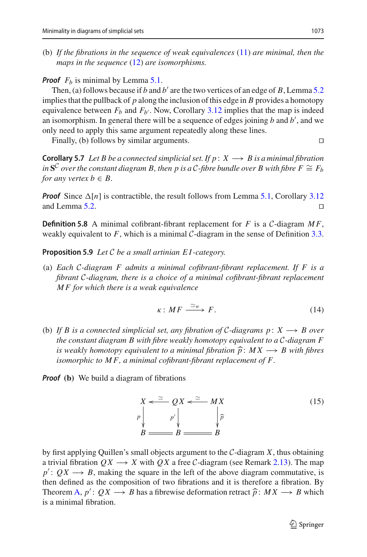(b) *If the fibrations in the sequence of weak equivalences* [\(11\)](#page-29-1) *are minimal, then the maps in the sequence* [\(12\)](#page-29-2) *are isomorphisms.*

# *Proof*  $F_b$  is minimal by Lemma [5.1.](#page-28-1)

Then, (a) follows because if *b* and *b'* are the two vertices of an edge of *B*, Lemma [5.2](#page-28-2) implies that the pullback of  $p$  along the inclusion of this edge in  $B$  provides a homotopy equivalence between  $F_b$  and  $F_{b'}$ . Now, Corollary [3.12](#page-20-1) implies that the map is indeed an isomorphism. In general there will be a sequence of edges joining *b* and *b* , and we only need to apply this same argument repeatedly along these lines.

Finally, (b) follows by similar arguments.

<span id="page-30-1"></span>**Corollary 5.7** *Let B be a connected simplicial set. If*  $p: X \rightarrow B$  *is a minimal fibration in* **S<sup>***C***</sup>** *over the constant diagram B, then p is a C-fibre bundle over B with fibre* $F \cong F_b$ *for any vertex*  $b \in B$ *.* 

**Proof** Since  $\Delta[n]$  is contractible, the result follows from Lemma [5.1,](#page-28-1) Corollary [3.12](#page-20-1) and Lemma 5.2. and Lemma [5.2.](#page-28-2) 

**Definition 5.8** A minimal cofibrant-fibrant replacement for *F* is a *C*-diagram  $MF$ , weakly equivalent to  $F$ , which is a minimal  $C$ -diagram in the sense of Definition [3.3.](#page-12-1)

<span id="page-30-2"></span>**Proposition 5.9** *Let C be a small artinian E I -category.*

(a) *Each C-diagram F admits a minimal cofibrant-fibrant replacement. If F is a fibrant C-diagram, there is a choice of a minimal cofibrant-fibrant replacement M F for which there is a weak equivalence*

$$
\kappa: MF \xrightarrow{\simeq_w} F. \tag{14}
$$

(b) *If B is a connected simplicial set, any fibration of C-diagrams p* : *X* −→ *B over the constant diagram B with fibre weakly homotopy equivalent to a C-diagram F* is weakly homotopy equivalent to a minimal fibration  $\hat{p}$ :  $MX \rightarrow B$  with fibres *if B is a connected simplicial set, any fibration of C-diagrams p: X → B over the constant diagram B with fibre weakly homotopy equivalent to a C-diagram F is weakly homotopy equivalent to a minimal fibration*  $\widehat{p$ *isomorphic to M F, a minimal cofibrant-fibrant replacement of F.*

*Proof* **(b)** We build a diagram of fibrations

<span id="page-30-0"></span>
$$
X \leftarrow \cong QX \leftarrow \cong MX
$$
  
\n
$$
P \downarrow \qquad P' \downarrow \qquad \qquad \downarrow \widehat{P}
$$
  
\n
$$
B \equiv B \equiv B
$$
  
\n(15)

by first applying Quillen's small objects argument to the *C*-diagram *X*, thus obtaining a trivial fibration  $QX \longrightarrow X$  with  $QX$  a free *C*-diagram (see Remark [2.13\)](#page-11-3). The map  $p' : QX \longrightarrow B$ , making the square in the left of the above diagram commutative, is then defined as the composition of two fibrations and it is therefore a fibration. By a trivial fibration  $QX \longrightarrow X$  with  $QX$  a free  $C$ -diagram (see Remark 2.13). The map  $p' : QX \longrightarrow B$ , making the square in the left of the above diagram commutative, is then defined as the composition of two fibrations and it i is a minimal fibration.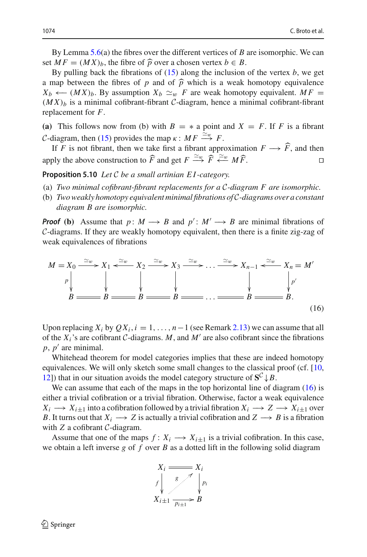By Lemma [5.6\(](#page-29-3)a) the fibres over the different vertices of *B* are isomorphic. We can 1074<br>By Lemma 5.6(a) the fibres over the different vertices of *B* set *M F* = (*MX*)<sub>*b*</sub>, the fibre of  $\hat{p}$  over a chosen vertex *b* ∈ *B*.

By pulling back the fibrations of [\(15\)](#page-30-0) along the inclusion of the vertex *b*, we get a map between the fibres of *p* and of  $\hat{p}$  which is a weak homotopy equivalence *X<sub>b</sub>* ←  $(MX)_b$ . By assumption  $X_b \simeq_w F$  are weak homotopy equivalent. *MF* =  $(MX)_b$  is a minimal cofibrant-fibrant *C*-diagram, hence a minimal cofibrant-fibrant replacement for *F*.

**(a)** This follows now from (b) with  $B = *$  a point and  $X = F$ . If *F* is a fibrant *C*-diagram, then [\(15\)](#page-30-0) provides the map  $\kappa : MF \stackrel{\simeq w}{\longrightarrow} F$ .

If *F* is not fibrant, then we take first a fibrant approximation  $F \longrightarrow F$ , and then apply the above construction to  $\widehat{F}$  and get  $F \stackrel{\simeq}{\longrightarrow} \widehat{F} \stackrel{\simeq}{\longleftarrow} M \widehat{F}$ . 

<span id="page-31-1"></span>**Proposition 5.10** *Let C be a small artinian E I -category.*

- (a) *Two minimal cofibrant-fibrant replacements for a C-diagram F are isomorphic.*
- (b) *Two weakly homotopy equivalent minimal fibrations of C-diagrams over a constant diagram B are isomorphic.*

*Proof* **(b)** Assume that *p* :  $M \rightarrow B$  and  $p' : M' \rightarrow B$  are minimal fibrations of *C*-diagrams. If they are weakly homotopy equivalent, then there is a finite zig-zag of weak equivalences of fibrations

<span id="page-31-0"></span>

Upon replacing  $X_i$  by  $OX_i$ ,  $i = 1, ..., n-1$  (see Remark [2.13\)](#page-11-3) we can assume that all of the  $X_i$ 's are cofibrant  $C$ -diagrams.  $M$ , and  $M'$  are also cofibrant since the fibrations *,*  $*p'*$  *are minimal.* 

Whitehead theorem for model categories implies that these are indeed homotopy equivalences. We will only sketch some small changes to the classical proof (cf. [\[10,](#page-39-8) [12\]](#page-39-1)) that in our situation avoids the model category structure of  $S^C \downarrow B$ .

We can assume that each of the maps in the top horizontal line of diagram [\(16\)](#page-31-0) is either a trivial cofibration or a trivial fibration. Otherwise, factor a weak equivalence  $X_i \longrightarrow X_{i\pm 1}$  into a cofibration followed by a trivial fibration  $X_i \longrightarrow Z \longrightarrow X_{i\pm 1}$  over *B*. It turns out that  $X_i \longrightarrow Z$  is actually a trivial cofibration and  $Z \longrightarrow B$  is a fibration with *Z* a cofibrant *C*-diagram.

Assume that one of the maps  $f: X_i \longrightarrow X_{i+1}$  is a trivial cofibration. In this case, we obtain a left inverse *g* of *f* over *B* as a dotted lift in the following solid diagram

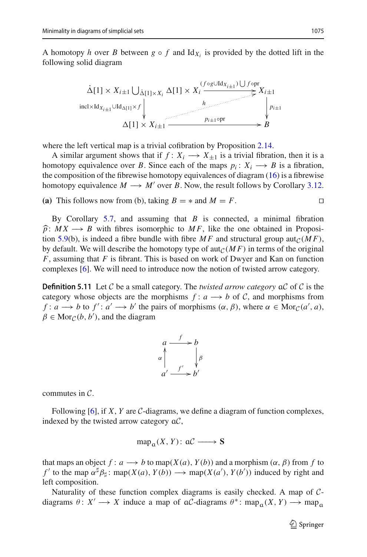A homotopy *h* over *B* between  $g \circ f$  and  $Id_{X_i}$  is provided by the dotted lift in the following solid diagram



where the left vertical map is a trivial cofibration by Proposition [2.14.](#page-11-2)

A similar argument shows that if  $f: X_i \longrightarrow X_{\pm 1}$  is a trivial fibration, then it is a homotopy equivalence over *B*. Since each of the maps  $p_i: X_i \longrightarrow B$  is a fibration, the composition of the fibrewise homotopy equivalences of diagram [\(16\)](#page-31-0) is a fibrewise homotopy equivalence  $M \rightarrow M'$  over *B*. Now, the result follows by Corollary [3.12.](#page-20-1)

**(a)** This follows now from (b), taking *B* = ∗ and *M* = *F*.

By Corollary [5.7,](#page-30-1) and assuming that *B* is connected, a minimal fibration  $\hat{p}$ :  $MX \rightarrow B$  with fibres isomorphic to  $MF$ , like the one obtained in Proposi-tion [5.9\(](#page-30-2)b), is indeed a fibre bundle with fibre  $MF$  and structural group aut<sub>*C*</sub>(*MF*), by default. We will describe the homotopy type of  $\text{aut}_{\mathcal{C}}(MF)$  in terms of the original *F*, assuming that *F* is fibrant. This is based on work of Dwyer and Kan on function complexes [\[6\]](#page-39-2). We will need to introduce now the notion of twisted arrow category.

**Definition 5.11** Let *C* be a small category. The *twisted arrow category* a*C* of *C* is the category whose objects are the morphisms  $f: a \rightarrow b$  of C, and morphisms from *f* :  $a \rightarrow b$  to  $f' : a' \rightarrow b'$  the pairs of morphisms  $(\alpha, \beta)$ , where  $\alpha \in \text{Mor}_{\mathcal{C}}(a', a)$ ,  $\beta \in \text{Mor}_{\mathcal{C}}(b, b')$ , and the diagram



commutes in *C*.

Following [\[6](#page-39-2)], if *X*, *Y* are *C*-diagrams, we define a diagram of function complexes, indexed by the twisted arrow category a*C*,

 $map_{\alpha}(X, Y) : \alpha \mathcal{C} \longrightarrow S$ 

that maps an object  $f: a \longrightarrow b$  to map( $X(a), Y(b)$ ) and a morphism ( $\alpha, \beta$ ) from f to *f*' to the map  $\alpha^{\sharp} \beta_{\sharp}$ : map(*X*(*a*), *Y*(*b*)) → map(*X*(*a*'), *Y*(*b*')) induced by right and left composition.

Naturality of these function complex diagrams is easily checked. A map of *C*diagrams  $\theta: X' \longrightarrow X$  induce a map of a*C*-diagrams  $\theta^*$ : map<sub>a</sub> $(X, Y) \longrightarrow$  map<sub>a</sub>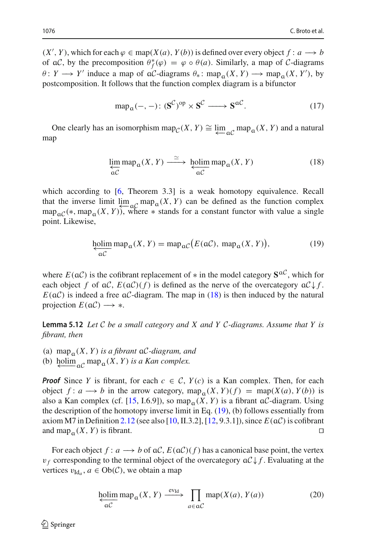$(X', Y)$ , which for each  $\varphi \in \text{map}(X(a), Y(b))$  is defined over every object  $f : a \longrightarrow b$ of a*C*, by the precomposition  $\theta_f^*(\varphi) = \varphi \circ \theta(a)$ . Similarly, a map of *C*-diagrams  $\theta: Y \longrightarrow Y'$  induce a map of a*C*-diagrams  $\theta_*: \text{map}_{\alpha}(X, Y) \longrightarrow \text{map}_{\alpha}(X, Y')$ , by postcomposition. It follows that the function complex diagram is a bifunctor

<span id="page-33-2"></span>
$$
map_{\alpha}(-,-): (\mathbf{S}^{\mathcal{C}})^{\text{op}} \times \mathbf{S}^{\mathcal{C}} \longrightarrow \mathbf{S}^{\alpha \mathcal{C}}.
$$
 (17)

One clearly has an isomorphism map $\mathcal{C}(X, Y) \cong \varprojlim_{\alpha \mathcal{C}} \text{map}_{\alpha}(X, Y)$  and a natural map

<span id="page-33-0"></span>
$$
\lim_{\substack{\to \\ \alpha C}} \operatorname{map}_{\alpha}(X, Y) \xrightarrow{\simeq} \underline{\operatorname{holim}} \operatorname{map}_{\alpha}(X, Y) \tag{18}
$$

which according to [\[6,](#page-39-2) Theorem 3.3] is a weak homotopy equivalence. Recall that the inverse limit  $\lim_{\substack{a \text{ of } X}} \max_{y \in A} a(X, Y)$  can be defined as the function complex<br>map  $\lim_{\substack{a \text{ of } X}} a(X, Y)$  where  $\ast$  stands for a constant functor with value a single map<sub>a</sub> $C(*, map_{\alpha}(X, Y))$ , where  $*$  stands for a constant functor with value a single point. Likewise,

<span id="page-33-1"></span>
$$
\underbrace{\text{holim}}_{\mathfrak{a}\mathcal{C}} \text{map}_{\mathfrak{a}}(X, Y) = \text{map}_{\mathfrak{a}\mathcal{C}}(E(\mathfrak{a}\mathcal{C}), \text{map}_{\mathfrak{a}}(X, Y)),\tag{19}
$$

where  $E(aC)$  is the cofibrant replacement of  $*$  in the model category  $S^{aC}$ , which for each object *f* of  $\alpha C$ ,  $E(\alpha C)(f)$  is defined as the nerve of the overcategory  $\alpha C \downarrow f$ .  $E(aC)$  is indeed a free  $aC$ -diagram. The map in [\(18\)](#page-33-0) is then induced by the natural projection  $E(\mathfrak{a}\mathcal{C}) \longrightarrow *$ .

<span id="page-33-3"></span>**Lemma 5.12** *Let C be a small category and X and Y C-diagrams. Assume that Y is fibrant, then*

(a) map<sub> $\alpha$ </sub> $(X, Y)$  *is a fibrant*  $\alpha$ *C-diagram, and* 

(b) holim<sub> $\alpha$ </sub><sup>*c*</sup> map<sub>a</sub>(*X*, *Y*) *is a Kan complex.* 

*Proof* Since *Y* is fibrant, for each  $c \in C$ ,  $Y(c)$  is a Kan complex. Then, for each object  $f: a \rightarrow b$  in the arrow category, map<sub>a</sub> $(X, Y)(f) = \text{map}(X(a), Y(b))$  is also a Kan complex (cf. [\[15,](#page-39-9) I.6.9]), so map<sub> $\alpha$ </sub>(*X*, *Y*) is a fibrant  $\alpha$ *C*-diagram. Using the description of the homotopy inverse limit in Eq. [\(19\)](#page-33-1), (b) follows essentially from axiom M7 in Definition [2.12](#page-10-0) (see also [\[10](#page-39-8), II.3.2], [\[12,](#page-39-1) 9.3.1]), since  $E(aC)$  is cofibrant and map  $(X, Y)$  is fibrant. and map<sub>a</sub> $(X, Y)$  is fibrant.

For each object  $f: a \rightarrow b$  of aC,  $E(aC)(f)$  has a canonical base point, the vertex For each object  $f : a \longrightarrow b$  of act,  $E(\mathbf{a}C)(f)$  has a canonical base point, the vertex  $v_f$  corresponding to the terminal object of the overcategory  $\mathbf{a}C \downarrow f$ . Evaluating at the vertices  $v_{\text{Id}_a}$ ,  $a \in Ob(C)$ , we obtai vertices  $v_{Id_a}$ ,  $a \in Ob(\mathcal{C})$ , we obtain a map

$$
\underset{\alpha C}{\text{holim}} \operatorname{map}_{\alpha}(X, Y) \xrightarrow{\text{ev}_{\text{Id}}} \prod_{a \in \alpha C} \operatorname{map}(X(a), Y(a)) \tag{20}
$$

 $\textcircled{2}$  Springer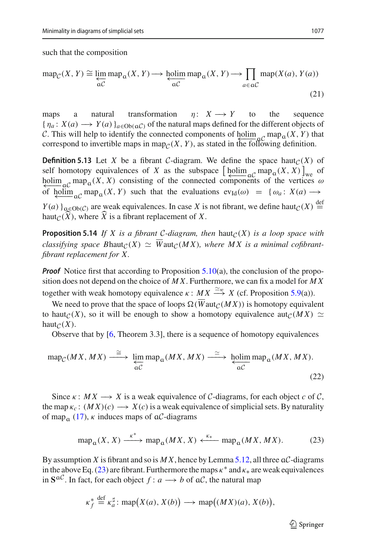such that the composition

Minimality in diagrams of simplicial sets  
such that the composition  

$$
\operatorname{map}_{\mathcal{C}}(X, Y) \cong \varprojlim_{\alpha \mathcal{C}} \operatorname{map}_{\alpha}(X, Y) \longrightarrow \varprojlim_{\alpha \mathcal{C}} \operatorname{map}_{\alpha}(X, Y) \longrightarrow \prod_{a \in \alpha \mathcal{C}} \operatorname{map}(X(a), Y(a))
$$
(21)

maps a natural transformation  $\eta: X \to Y$  to the sequence { η*<sup>a</sup>* : *X*(*a*) −→ *Y* (*a*)}*a*∈Ob(a*C*) of the natural maps defined for the different objects of *C*. This will help to identify the connected components of holim  ${}_{\alpha}C$  map ${}_{\alpha}(X, Y)$  that correspond to invertible maps in map ${}_{\alpha}(X, Y)$  as stated in the following definition. correspond to invertible maps in map<sub> $C(X, Y)$ </sub>, as stated in the following definition.

<span id="page-34-2"></span>**Definition 5.13** Let *X* be a fibrant *C*-diagram. We define the space haut<sub>*C*</sub>(*X*) of C. This will help to identify the connected components of holim  ${}_{\alpha}C$  map  ${}_{\alpha}(X, Y)$  that correspond to invertible maps in map<sub>C</sub>(*X*, *Y*), as stated in the following definition.<br>**Definition 5.13** Let *X* be a fibran holim  ${}_{\alpha}C$  map  $(X, X)$  consisting of the connected components of the vertices  $\omega$ <br>of bolim map  $(X, Y)$  such that the evaluations  $e_{X_1}(\omega) = \chi(\omega) \chi(\omega)$ of holim<sub>p</sub> map<sub>a</sub>(*X*, *Y*) such that the evaluations  $ev_{Id}(\omega) = \{\omega_a : X(a) \rightarrow$  $Y(a)$   $\Big|_{a \in Ob(C)}$  are weak equivalences. In case *X* is not fibrant, we define haut $C(X) \stackrel{\text{def}}{=}$ holim<sub>ac</sub> map<sub>a</sub>(*X*, *X*) consisting of the connect<br>of  $\underline{\text{bolim}}_{\alpha C} \text{map}_{\alpha}(X, Y)$  such that the evaluation<br> $Y(a)$ <sub> $a \in Ob(C)$ </sub> are weak equivalences. In case *X* is<br>haut<sub>C</sub>( $\hat{X}$ ), where  $\hat{X}$  is a fibrant replacement

<span id="page-34-3"></span>**Proposition 5.14** *If X is a fibrant C-diagram, then* haut $_C(X)$  *is a loop space with classifying space Bhaut* $c(X) \simeq \overline{W}$ aut $c(MX)$ , where MX is a minimal cofibrant*fibrant replacement for X.*

*Proof* Notice first that according to Proposition [5.10\(](#page-31-1)a), the conclusion of the proposition does not depend on the choice of *M X*. Furthermore, we can fix a model for *M X* together with weak homotopy equivalence  $\kappa$  :  $MX \stackrel{\simeq}{\longrightarrow} X$  (cf. Proposition [5.9\(](#page-30-2)a)).

We need to prove that the space of loops  $\Omega(\overline{W}_{\text{aut}_C}(MX))$  is homotopy equivalent to haut<sub>*C*</sub>(*X*), so it will be enough to show a homotopy equivalence aut<sub>*C*</sub>(*MX*)  $\simeq$ haut<sub> $C(X)$ </sub>.

Observe that by [\[6,](#page-39-2) Theorem 3.3], there is a sequence of homotopy equivalences

<span id="page-34-1"></span>
$$
\operatorname{map}_{\mathcal{C}}(MX, MX) \xrightarrow{\cong} \varprojlim_{\alpha \mathcal{C}} \operatorname{map}_{\alpha}(MX,MX) \xrightarrow{\cong} \varprojlim_{\alpha \mathcal{C}} \operatorname{map}_{\alpha}(MX,MX).
$$
\n(22)

Since  $\kappa : MX\longrightarrow X$  is a weak equivalence of C-diagrams, for each object c of C, the map  $\kappa_c$ :  $(MX)(c) \longrightarrow X(c)$  is a weak equivalence of simplicial sets. By naturality of map<sub>a</sub> [\(17\)](#page-33-2),  $\kappa$  induces maps of a*C*-diagrams

<span id="page-34-0"></span>
$$
\operatorname{map}_{\alpha}(X, X) \xrightarrow{\kappa^*} \operatorname{map}_{\alpha}(MX, X) \xleftarrow{\kappa_*} \operatorname{map}_{\alpha}(MX, MX). \tag{23}
$$

By assumption *X* is fibrant and so is *M X*, hence by Lemma [5.12,](#page-33-3) all three a*C*-diagrams in the above Eq. [\(23\)](#page-34-0) are fibrant. Furthermore the maps  $\kappa^*$  and  $\kappa_*$  are weak equivalences in  $S^{aC}$ . In fact, for each object *f* : *a*  $\rightarrow$  *b* of  $aC$ , the natural map brant and so is *M X*, hence by Learntherm and so is *M X*, hence by Learntherm and the maps ach object  $f: a \longrightarrow b$  of a $C$ , the  $\frac{a}{a}: \text{map}(X(a), X(b)) \longrightarrow \text{map}(A)$ 

$$
\kappa_f^* \stackrel{\text{def}}{=} \kappa_a^{\sharp} \colon \text{map}\big(X(a), X(b)\big) \longrightarrow \text{map}\big((MX)(a), X(b)\big),
$$

 $\mathcal{D}$  Springer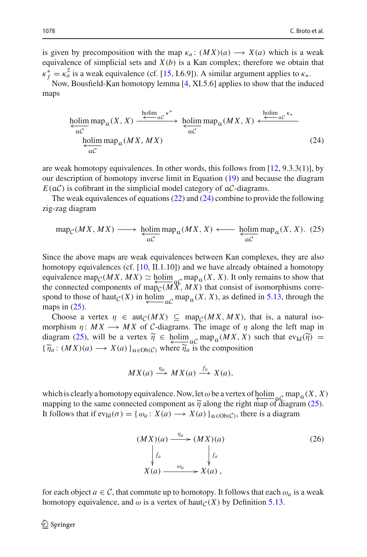is given by precomposition with the map  $\kappa_a: (MX)(a) \longrightarrow X(a)$  which is a weak equivalence of simplicial sets and  $X(b)$  is a Kan complex; therefore we obtain that  $\kappa_f^* = \kappa_a^{\sharp}$  is a weak equivalence (cf. [\[15](#page-39-9), I.6.9]). A similar argument applies to  $\kappa_*$ .

Now, Bousfield-Kan homotopy lemma [\[4,](#page-39-15) XI.5.6] applies to show that the induced maps

<span id="page-35-0"></span>
$$
\underbrace{\underset{\alpha C}{\text{holim map}} \text{map}_{\alpha}(X, X) \xrightarrow{\text{holim } \alpha c} \overset{\kappa^*}{\longleftrightarrow} \underset{\alpha C}{\text{holim map}} \text{map}_{\alpha}(MX, X) \xleftarrow{\text{holim } \alpha c} \overset{\kappa_*}{\longleftrightarrow} }_{\alpha C}
$$
\n(24)

are weak homotopy equivalences. In other words, this follows from  $[12, 9.3.3(1)]$  $[12, 9.3.3(1)]$ , by our description of homotopy inverse limit in Equation [\(19\)](#page-33-1) and because the diagram  $E(aC)$  is cofibrant in the simplicial model category of  $aC$ -diagrams.

The weak equivalences of equations [\(22\)](#page-34-1) and [\(24\)](#page-35-0) combine to provide the following zig-zag diagram

<span id="page-35-1"></span>
$$
\operatorname{map}_{\mathcal{C}}(MX, MX) \longrightarrow \underset{\alpha\mathcal{C}}{\text{holim}} \operatorname{map}_{\alpha}(MX,X) \longleftarrow \underset{\alpha\mathcal{C}}{\text{holim}} \operatorname{map}_{\alpha}(X,X). (25)
$$

Since the above maps are weak equivalences between Kan complexes, they are also homotopy equivalences (cf.  $[10, II, 1.10]$  $[10, II, 1.10]$ ) and we have already obtained a homotopy equivalence map<sub>*C*</sub>(*MX*, *MX*)  $\simeq$  <u>holim</u><sub>q</sub>*C* map<sub>*a*</sub>(*X*, *X*). It only remains to show that the connected components of map<sub>*a*</sub>(*MX*) that consist of isomorphisms correthe connected components of map<sub>*C*</sub>( $M\ddot{X}$ ,  $M\ddot{X}$ ) that consist of isomorphisms correspond to those of haut $\mathcal{C}(X)$  in holim  $\mathcal{C}(\mathcal{C})$  map  $\mathcal{C}(X, X)$ , as defined in [5.13,](#page-34-2) through the maps in  $(25)$ .

Choose a vertex  $\eta \in \text{aut}_{\mathcal{C}}(MX) \subseteq \text{map}_{\mathcal{C}}(MX, MX)$ , that is, a natural isomorphism  $\eta: MX\longrightarrow MX$  of C-diagrams. The image of  $\eta$  along the left map in maps in [\(25\)](#page-35-1),<br>
Choose a vertex  $\eta \in \text{aut}_C(MX) \subseteq \text{map}_C(MX, MX)$ , that is, a natural isomorphism  $\eta: MX \to MX$  of C-diagrams. The image of  $\eta$  along the left map in diagram (25), will be a vertex  $\tilde{\eta} \in \text{holim}_{\text{ad}}C \text{map}_{\text{ad}}(MX$ Choose a vertex  $\eta$  ∈ aut<sub>C</sub>(*MX*) ⊆ r<br>morphism  $\eta$ : *MX* → *MX* of *C*-diagrams<br>diagram (25), will be a vertex  $\tilde{\eta}$  ∈ holim<br>{ $\tilde{\eta}_a$ : (*MX*)(*a*) → *X*(*a*) }<sub>α∈Ob(*C*) where  $\tilde{\eta}_a$ </sub>  $\{\tilde{\eta}_a\colon (MX)(a) \longrightarrow X(a)\}_{a \in Ob(\mathcal{C})}$  where  $\tilde{\eta}_a$  is the composition

$$
MX(a) \xrightarrow{\eta_a} MX(a) \xrightarrow{f_a} X(a),
$$

 $MX(a) \stackrel{\eta_a}{\longrightarrow} MX(a) \stackrel{\overline{f_a}}{\longrightarrow}X(a)$ ,<br>which is clearly a homotopy equivalence. Now, let  $\omega$  be a vertex of holim  ${}_{\alpha}C$  map<sub> $\alpha$ </sub> $(X, X)$ <br>mapping to the same connected component as  $\tilde{\eta}$  along the right map of diagram ( mapping to the same connected component as  $\tilde{\eta}$  along the right map of diagram [\(25\)](#page-35-1). It follows that if  $ev_{Id}(\sigma) = \{ \omega_a : X(a) \longrightarrow X(a) \}_{a \in Ob(\mathcal{C})}$ , there is a diagram

<span id="page-35-2"></span>
$$
(MX)(a) \xrightarrow{\eta_a} (MX)(a)
$$
\n
$$
\downarrow f_a
$$
\n
$$
X(a) \xrightarrow{\omega_a} X(a),
$$
\n(26)

for each object  $a \in \mathcal{C}$ , that commute up to homotopy. It follows that each  $\omega_a$  is a weak homotopy equivalence, and  $\omega$  is a vertex of haut $\chi$ (*X*) by Definition [5.13.](#page-34-2)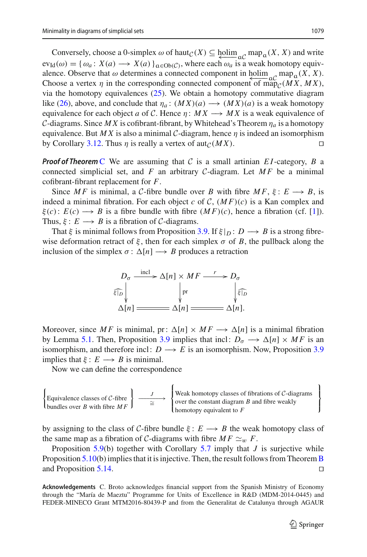Conversely, choose a 0-simplex  $\omega$  of haut $C(X) \subseteq \text{holim}_{\alpha} C \text{ map}_{\alpha}(X, X)$  and write  $ev_{Id}(\omega) = {\omega_a : X(a) \longrightarrow X(a)}_{a \in Ob(C)}$ , where each  $\omega_a$  is a weak homotopy equivalence. Observe that  $\omega$  determines a connected component in holim  $\alpha$ <sup>*C*</sup> map<sub>a</sub>(*X*, *X*). Choose a vertex  $\eta$  in the corresponding connected component of map<sub>*C*</sub>(*MX*, *MX*), via the homotopy equivalences [\(25\)](#page-35-1). We obtain a homotopy commutative diagram like [\(26\)](#page-35-2), above, and conclude that  $\eta_a: (MX)(a) \longrightarrow (MX)(a)$  is a weak homotopy equivalence for each object *a* of *C*. Hence  $\eta: MX\longrightarrow MX$  is a weak equivalence of *C*-diagrams. Since *MX* is cofibrant-fibrant, by Whitehead's Theorem  $\eta_a$  is a homotopy equivalence. But *MX* is also a minimal *C*-diagram, hence  $\eta$  is indeed an isomorphism<br>by Corollary 3.12. Thus *n* is really a vertex of aut  $\alpha$ (*MX*) by Corollary [3.12.](#page-20-1) Thus  $\eta$  is really a vertex of aut<sub> $C(MX)$ </sub>.

*Proof of Theorem* [C](#page-2-0) We are assuming that *C* is a small artinian *EI*-category, *B* a connected simplicial set, and  $F$  an arbitrary  $C$ -diagram. Let  $MF$  be a minimal cofibrant-fibrant replacement for *F*.

Since *MF* is minimal, a *C*-fibre bundle over *B* with fibre  $MF$ ,  $\xi$ :  $E \rightarrow$  *B*, is indeed a minimal fibration. For each object *c* of *C*,  $(MF)(c)$  is a Kan complex and  $\xi(c)$ :  $E(c) \rightarrow B$  is a fibre bundle with fibre  $(MF)(c)$ , hence a fibration (cf. [\[1\]](#page-39-0)). Thus,  $\xi: E \longrightarrow B$  is a fibration of *C*-diagrams.

That  $\xi$  is minimal follows from Proposition [3.9.](#page-16-0) If  $\xi|_D : D \longrightarrow B$  is a strong fibrewise deformation retract of  $\xi$ , then for each simplex  $\sigma$  of B, the pullback along the inclusion of the simplex  $\sigma : \Delta[n] \longrightarrow B$  produces a retraction



Moreover, since *MF* is minimal, pr:  $\Delta[n] \times MF \longrightarrow \Delta[n]$  is a minimal fibration by Lemma [5.1.](#page-28-1) Then, Proposition [3.9](#page-16-0) implies that incl:  $D_{\sigma} \longrightarrow \Delta[n] \times MF$  is an isomorphism, and therefore incl:  $D \rightarrow E$  is an isomorphism. Now, Proposition [3.9](#page-16-0) implies that  $\xi: E \longrightarrow B$  is minimal.

Thes that  $\xi$ .  $E \rightarrow B$  is imminated.<br>Now we can define the correspondence

$$
\left\{\text{Equivalence classes of }\mathcal{C}\text{-fiber}\\ \text{bundles over }B \text{ with fibre } MF\right\} \xrightarrow{\begin{array}{c} \\ \text{if} \\ \text{if} \\ \text{if} \\ \text{if} \\ \text{if} \\ \text{if} \\ \text{if} \\ \text{if} \\ \text{if} \\ \text{if} \\ \text{if} \\ \text{if} \\ \text{if} \\ \text{if} \\ \text{if} \\ \text{if} \\ \text{if} \\ \text{if} \\ \text{if} \\ \text{if} \\ \text{if} \\ \text{if} \\ \text{if} \\ \text{if} \\ \text{if} \\ \text{if} \\ \text{if} \\ \text{if} \\ \text{if} \\ \text{if} \\ \text{if} \\ \text{if} \\ \text{if} \\ \text{if} \\ \text{if} \\ \text{if} \\ \text{if} \\ \text{if} \\ \text{if} \\ \text{if} \\ \text{if} \\ \text{if} \\ \text{if} \\ \text{if} \\ \text{if} \\ \text{if} \\ \text{if} \\ \text{if} \\ \text{if} \\ \text{if} \\ \text{if} \\ \text{if} \\ \text{if} \\ \text{if} \\ \text{if} \\ \text{if} \\ \text{if} \\ \text{if} \\ \text{if} \\ \text{if} \\ \text{if} \\ \text{if} \\ \text{if} \\ \text{if} \\ \text{if} \\ \text{if} \\ \text{if} \\ \text{if} \\ \text{if} \\ \text{if} \\ \text{if} \\ \text{if} \\ \text{if} \\ \text{if} \\ \text{if} \\ \text{if} \\ \text{if} \\ \text{if} \\ \text{if} \\ \text{if} \\ \text{if} \\ \text{if} \\ \text{if} \\ \text{if} \\ \text{if} \\ \text{if} \\ \text{if} \\ \text{if} \\ \text{if} \\ \text{if} \\ \text{if} \\ \text{if} \\ \text{if} \\ \text{if} \\ \text{if} \\ \text{if} \\ \text{if} \\ \text{if} \\ \text{if} \\ \text{if} \\ \text{if} \\ \text{if} \\ \text{if} \\ \text{if} \\ \text{if} \\ \text{if} \\ \text{if} \\ \text{if} \\ \text{if} \\ \text{if} \\ \text{if} \\ \text{if} \\ \text{if} \\ \text{if} \\ \text{if} \\ \text{if} \\ \text{if} \\ \text{if} \\ \text
$$

by assigning to the class of *C*-fibre bundle  $\xi : E \longrightarrow B$  the weak homotopy class of the same map as a fibration of *C*-diagrams with fibre  $MF \simeq_{w} F$ .

Proposition [5.9\(](#page-30-2)b) together with Corollary [5.7](#page-30-1) imply that *J* is surjective while Proposition [5.10\(](#page-31-1)b) implies that it is injective. Then, the result follows from Theorem [B](#page-1-1) and Proposition [5.14.](#page-34-3)

**Acknowledgements** C. Broto acknowledges financial support from the Spanish Ministry of Economy through the "María de Maeztu" Programme for Units of Excellence in R&D (MDM-2014-0445) and FEDER-MINECO Grant MTM2016-80439-P and from the Generalitat de Catalunya through AGAUR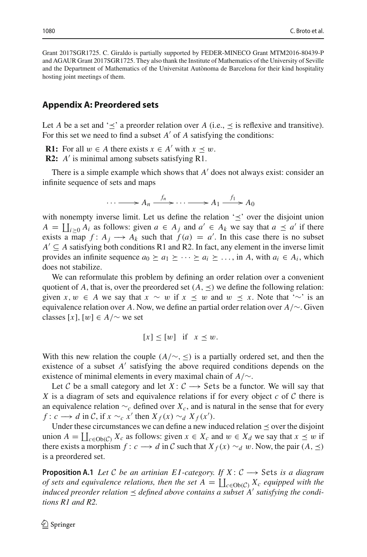Grant 2017SGR1725. C. Giraldo is partially supported by FEDER-MINECO Grant MTM2016-80439-P and AGAUR Grant 2017SGR1725. They also thank the Institute of Mathematics of the University of Seville and the Department of Mathematics of the Universitat Autònoma de Barcelona for their kind hospitality hosting joint meetings of them.

### **Appendix A: Preordered sets**

Let *A* be a set and ' $\prec$ ' a preorder relation over *A* (i.e.,  $\prec$  is reflexive and transitive). For this set we need to find a subset  $A'$  of  $A$  satisfying the conditions:

**R1:** For all  $w$  ∈ *A* there exists  $x$  ∈ *A'* with  $x$   $\prec w$ .

**R2:** *A'* is minimal among subsets satisfying R1.

There is a simple example which shows that *A'* does not always exist: consider an infinite sequence of sets and maps

$$
\cdots \longrightarrow A_n \xrightarrow{f_n} \cdots \longrightarrow A_1 \xrightarrow{f_1} A_0
$$

with nonempty inverse limit. Let us define the relation  $\leq$  over the disjoint union  $\dots \longrightarrow A_n \xrightarrow{f_n} \dots \longrightarrow A_1 \xrightarrow{f_1} A_0$ <br> *with nonempty inverse limit.* Let us define the relation ' $\leq$ ' over the disjoint union *A* =  $\prod_{i\geq 0} A_i$  as follows: given *a* ∈ *A<sub>j</sub>* and *a'* ∈ *A<sub>k</sub>* we say that *a*  $\leq a'$  i exists a map  $f: A_j \longrightarrow A_k$  such that  $f(a) = a'$ . In this case there is no subset  $A' \subseteq A$  satisfying both conditions R1 and R2. In fact, any element in the inverse limit provides an infinite sequence  $a_0 \ge a_1 \ge \cdots \ge a_i \ge \ldots$ , in *A*, with  $a_i \in A_i$ , which does not stabilize.

We can reformulate this problem by defining an order relation over a convenient quotient of *A*, that is, over the preordered set  $(A, \preceq)$  we define the following relation: given *x*,  $w \in A$  we say that  $x \sim w$  if  $x \leq w$  and  $w \leq x$ . Note that '∼' is an equivalence relation over *A*. Now, we define an partial order relation over *A*/∼. Given classes  $[x]$ ,  $[w] \in A/\sim$  we set

$$
[x] \le [w] \quad \text{if} \quad x \le w.
$$

With this new relation the couple  $(A/\sim, \leq)$  is a partially ordered set, and then the existence of a subset  $A'$  satisfying the above required conditions depends on the existence of minimal elements in every maximal chain of *A*/∼.

Let *C* be a small category and let *X* :  $C \rightarrow$  Sets be a functor. We will say that *X* is a diagram of sets and equivalence relations if for every object *c* of *C* there is an equivalence relation  $\sim_c$  defined over  $X_c$ , and is natural in the sense that for every *f* : *c* → *d* in *C*, if  $x \sim_c x'$  then  $X_f(x) \sim_d X_f(x')$ . *X* is a diagram of sets and equivalence relations if for every object *c* of *C* there is an equivalence relation  $\sim_c$  defined over *X<sub>c</sub>*, and is natural in the sense that for every  $f: c \rightarrow d$  in *C*, if  $x \sim_c x'$  then  $X$ 

Under these circumstances we can define a new induced relation  $\leq$  over the disjoint there exists a morphism  $f: c \rightarrow d$  in C such that  $X_f(x) \sim_d w$ . Now, the pair  $(A, \preceq)$ is a preordered set.

**Proposition A.1** *Let*  $C$  *be an artinian EI-category. If*  $X: C \rightarrow$  Sets *is a diagram of sets and equivalence relations, then the set*  $A = \prod_{c \in Ob(C)} X_c$  *equipped with the c be an artinian EI*-category. *If*  $X: C \longrightarrow$  Sets is a diagram of sets and equivalence relations, then the set  $A = \prod_{c \in Ob(C)} X_c$  equipped induced preorder relation  $\prec$  defined above contains a subset A' satisfying the condi*tions R1 and R2.*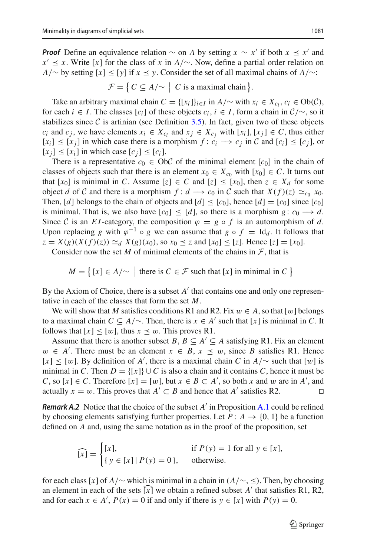*Proof* Define an equivalence relation  $\sim$  on *A* by setting  $x \sim x'$  if both  $x \leq x'$  and *x'*  $\leq$  *x*. Write [*x*] for the class of *x* in *A*/∼. Now, define a partial order relation on *A*/∼ by setting [*x*]≤[*y*] if *x y*. Consider the set of all maximal chains of *A*/∼: divalence relation ∼ on *A* by setting  $x \sim y$ <br>or the class of *x* in  $A/\sim$ . Now, define a par<br> $\leq [y]$  if  $x \leq y$ . Consider the set of all maxim<br> $\mathcal{F} = \{ C \subseteq A/\sim | C \text{ is a maximal chain } \}.$ 

Take an arbitrary maximal chain  $C = \{[x_i]\}_{i \in I}$  in  $A/\sim$  with  $x_i \in X_{c_i}, c_i \in Ob(\mathcal{C}),$ for each  $i \in I$ . The classes  $[c_i]$  of these objects  $c_i, i \in I$ , form a chain in  $\mathcal{C}/\sim$ , so it stabilizes since  $C$  is artinian (see Definition [3.5\)](#page-13-0). In fact, given two of these objects *c<sub>i</sub>* and *c<sub>j</sub>*, we have elements  $x_i$  ∈  $X_{c_i}$  and  $x_j$  ∈  $X_{c_j}$  with  $[x_i]$ ,  $[x_j]$  ∈ *C*, thus either [ $x_i$ ] ≤ [ $x_j$ ] in which case there is a morphism *f* :  $c_i$  →  $c_j$  in  $C$  and [ $c_i$ ] ≤ [ $c_j$ ], or  $[x_i] \leq [x_i]$  in which case  $[c_i] \leq [c_i]$ .

There is a representative  $c_0 \in ObC$  of the minimal element  $[c_0]$  in the chain of classes of objects such that there is an element  $x_0 \in X_{c_0}$  with  $[x_0] \in C$ . It turns out that  $[x_0]$  is minimal in *C*. Assume  $[z] \in C$  and  $[z] \leq [x_0]$ , then  $z \in X_d$  for some object *d* of *C* and there is a morphism  $f: d \rightarrow c_0$  in *C* such that  $X(f)(z) \simeq_{c_0} x_0$ . Then, [*d*] belongs to the chain of objects and  $[d] \leq [c_0]$ , hence  $[d] = [c_0]$  since  $[c_0]$ is minimal. That is, we also have  $[c_0] \leq [d]$ , so there is a morphism  $g : c_0 \longrightarrow d$ . Since C is an *EI*-category, the composition  $\varphi = g \circ f$  is an automorphism of d. Upon replacing *g* with  $\varphi^{-1} \circ g$  we can assume that *g* ∘ *f* = Id<sub>*d*</sub>. It follows that  $z = X(g)(X(f)(z)) \simeq_d X(g)(x_0)$ , so  $x_0 \leq z$  and  $[x_0] \leq [z]$ . Hence  $[z] = [x_0]$ .<br>Consider now the set *M* of minimal elements of the  $z = X(g)(X(f)(z)) \simeq_d X(g)(x_0)$ , so  $x_0 \leq z$  and  $[x_0] \leq [z]$ . Hence  $[z] = [x_0]$ . parallellacing *g* with  $\varphi^{-1} \circ g$  we can assume that  $g \circ f = \text{Id}_d$ . It foll  $g(x) = g(x) \propto x$   $f(x) \propto x$   $f(x) \propto x$   $f(x) \propto x$  and  $[x] \propto [z]$ . Hence  $[z] = [z]$  ider now the set *M* of minimal elements of the chains in *F*, that

Consider now the set *M* of minimal elements of the chains in  $F$ , that is

$$
M = \{ [x] \in A/\sim \mid \text{ there is } C \in \mathcal{F} \text{ such that } [x] \text{ in minimal in } C \}
$$

By the Axiom of Choice, there is a subset  $A'$  that contains one and only one representative in each of the classes that form the set *M*.

We will show that *M* satisfies conditions R1 and R2. Fix  $w \in A$ , so that [w] belongs to a maximal chain  $C \subseteq A/\sim$ . Then, there is  $x \in A'$  such that [x] is minimal in C. It follows that  $[x] \leq [w]$ , thus  $x \leq w$ . This proves R1.

Assume that there is another subset *B*,  $B \subseteq A' \subseteq A$  satisfying R1. Fix an element  $w \in A'$ . There must be an element  $x \in B$ ,  $x \leq w$ , since *B* satisfies R1. Hence  $[x] \leq [w]$ . By definition of *A'*, there is a maximal chain *C* in *A*/∼ such that  $[w]$  is minimal in *C*. Then  $D = \{ [x] \} \cup C$  is also a chain and it contains *C*, hence it must be *C*, so [*x*] ∈ *C*. Therefore [*x*] = [*w*], but *x* ∈ *B* ⊂ *A*<sup> $\prime$ </sup>, so both *x* and *w* are in *A*<sup> $\prime$ </sup>, and actually  $x = w$ . This proves that  $A' ⊂ B$  and hence that  $A'$  satisfies R2.  $□$ 

*Remark A.2* Notice that the choice of the subset *A* in Proposition [A.1](#page-28-1) could be refined by choosing elements satisfying further properties. Let  $P: A \rightarrow \{0, 1\}$  be a function defined on *A* and, using the same notation as in the proof of the proposition, set Notice<br>g eleme<br>*A* and,<br> $\widehat{x}$ ] = {

$$
\widehat{[x]} = \begin{cases} [x], & \text{if } P(y) = 1 \text{ for all } y \in [x], \\ \{y \in [x] \mid P(y) = 0\}, & \text{otherwise.} \end{cases}
$$

for each class [*x*] of *A*/∼ which is minimal in a chain in (*A*/∼, ≤). Then, by choosing an element in each of the sets  $[x]$  we obtain a refined subset  $A'$  that satisfies R1, R2, and for each  $x \in A'$ ,  $P(x) = 0$  if and only if there is  $y \in [x]$  with  $P(y) = 0$ .